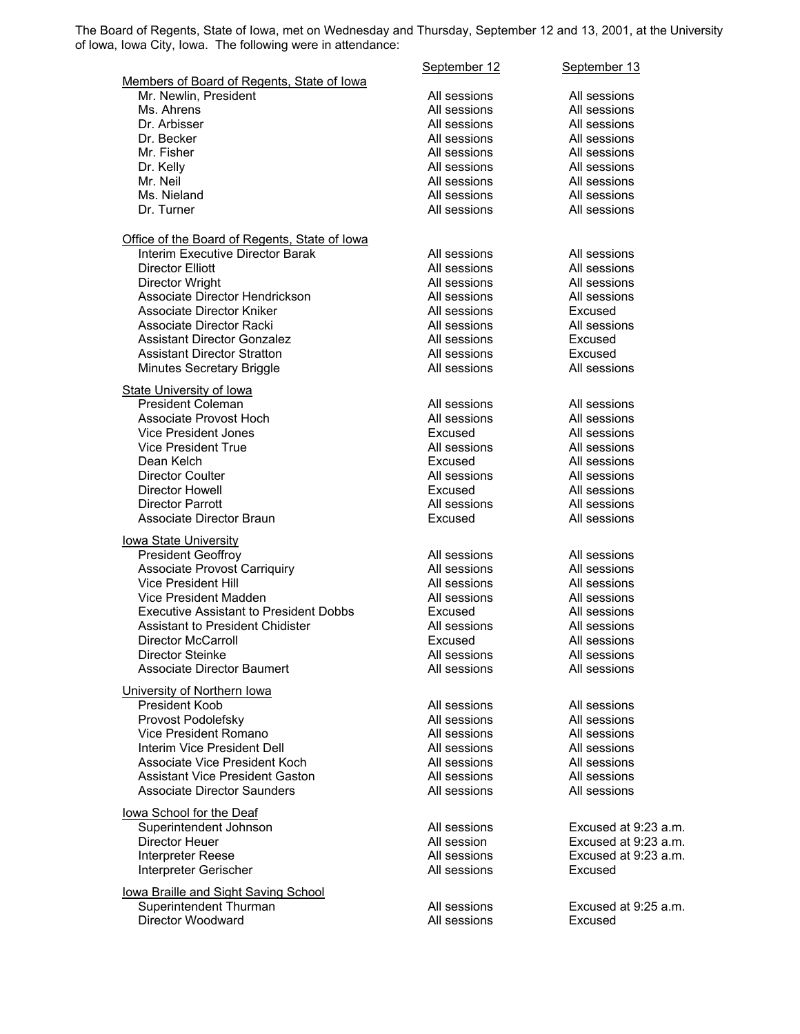The Board of Regents, State of Iowa, met on Wednesday and Thursday, September 12 and 13, 2001, at the University of Iowa, Iowa City, Iowa. The following were in attendance:

|                                                                   | September 12                 | September 13         |
|-------------------------------------------------------------------|------------------------------|----------------------|
| Members of Board of Regents, State of Iowa                        |                              |                      |
| Mr. Newlin, President                                             | All sessions                 | All sessions         |
| Ms. Ahrens                                                        | All sessions                 | All sessions         |
| Dr. Arbisser                                                      | All sessions                 | All sessions         |
| Dr. Becker                                                        | All sessions                 | All sessions         |
| Mr. Fisher                                                        | All sessions                 | All sessions         |
| Dr. Kelly                                                         | All sessions                 | All sessions         |
| Mr. Neil                                                          | All sessions                 | All sessions         |
| Ms. Nieland                                                       | All sessions                 | All sessions         |
| Dr. Turner                                                        | All sessions                 | All sessions         |
| Office of the Board of Regents, State of Iowa                     |                              |                      |
| Interim Executive Director Barak                                  | All sessions                 | All sessions         |
| <b>Director Elliott</b>                                           | All sessions                 | All sessions         |
| Director Wright                                                   | All sessions                 | All sessions         |
| Associate Director Hendrickson                                    | All sessions                 | All sessions         |
| Associate Director Kniker                                         | All sessions                 | Excused              |
| Associate Director Racki                                          | All sessions                 | All sessions         |
| <b>Assistant Director Gonzalez</b>                                | All sessions                 | Excused              |
| <b>Assistant Director Stratton</b>                                | All sessions                 | Excused              |
| Minutes Secretary Briggle                                         | All sessions                 | All sessions         |
| <b>State University of lowa</b>                                   |                              |                      |
| <b>President Coleman</b>                                          | All sessions                 | All sessions         |
| Associate Provost Hoch                                            | All sessions                 | All sessions         |
| <b>Vice President Jones</b>                                       | Excused                      | All sessions         |
| <b>Vice President True</b>                                        | All sessions                 | All sessions         |
| Dean Kelch                                                        | Excused                      | All sessions         |
| <b>Director Coulter</b>                                           | All sessions                 | All sessions         |
| Director Howell                                                   | Excused                      | All sessions         |
| Director Parrott                                                  | All sessions                 | All sessions         |
| Associate Director Braun                                          | Excused                      | All sessions         |
|                                                                   |                              |                      |
| <b>lowa State University</b>                                      |                              |                      |
| <b>President Geoffroy</b>                                         | All sessions                 | All sessions         |
| <b>Associate Provost Carriquiry</b><br><b>Vice President Hill</b> | All sessions<br>All sessions | All sessions         |
|                                                                   |                              | All sessions         |
| Vice President Madden                                             | All sessions                 | All sessions         |
| <b>Executive Assistant to President Dobbs</b>                     | Excused                      | All sessions         |
| <b>Assistant to President Chidister</b>                           | All sessions                 | All sessions         |
| Director McCarroll<br><b>Director Steinke</b>                     | Excused                      | All sessions         |
|                                                                   | All sessions                 | All sessions         |
| <b>Associate Director Baumert</b>                                 | All sessions                 | All sessions         |
| University of Northern Iowa                                       |                              |                      |
| <b>President Koob</b>                                             | All sessions                 | All sessions         |
| Provost Podolefsky                                                | All sessions                 | All sessions         |
| Vice President Romano                                             | All sessions                 | All sessions         |
| Interim Vice President Dell                                       | All sessions                 | All sessions         |
| <b>Associate Vice President Koch</b>                              | All sessions                 | All sessions         |
| <b>Assistant Vice President Gaston</b>                            | All sessions                 | All sessions         |
| <b>Associate Director Saunders</b>                                | All sessions                 | All sessions         |
| lowa School for the Deaf                                          |                              |                      |
| Superintendent Johnson                                            | All sessions                 | Excused at 9:23 a.m. |
| Director Heuer                                                    | All session                  | Excused at 9:23 a.m. |
| Interpreter Reese                                                 | All sessions                 | Excused at 9:23 a.m. |
| Interpreter Gerischer                                             | All sessions                 | Excused              |
| lowa Braille and Sight Saving School                              |                              |                      |
| Superintendent Thurman                                            | All sessions                 | Excused at 9:25 a.m. |
| Director Woodward                                                 | All sessions                 | Excused              |
|                                                                   |                              |                      |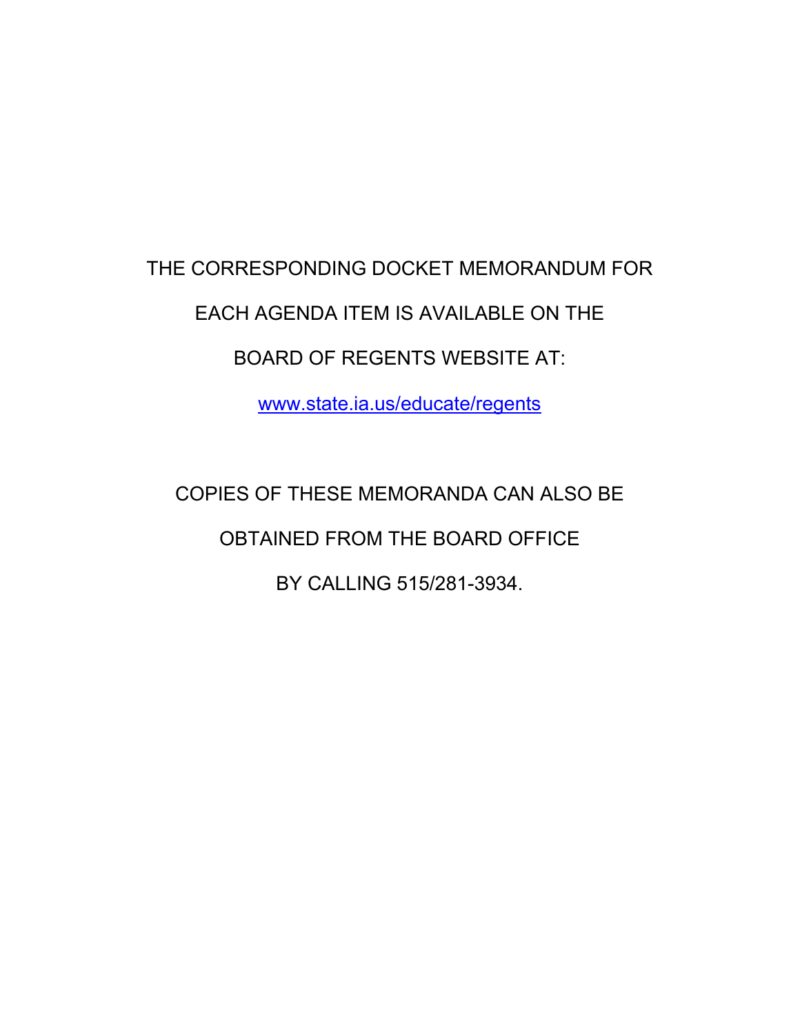# THE CORRESPONDING DOCKET MEMORANDUM FOR EACH AGENDA ITEM IS AVAILABLE ON THE BOARD OF REGENTS WEBSITE AT:

www.state.ia.us/educate/regents

COPIES OF THESE MEMORANDA CAN ALSO BE OBTAINED FROM THE BOARD OFFICE BY CALLING 515/281-3934.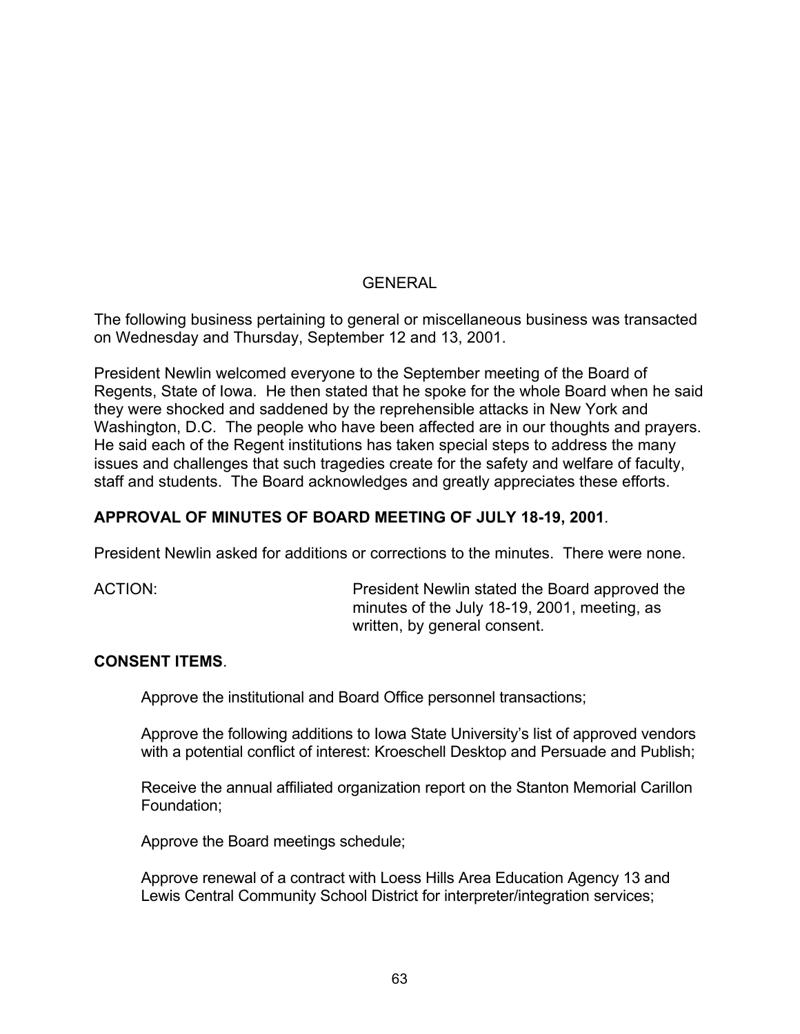# **GENERAL**

The following business pertaining to general or miscellaneous business was transacted on Wednesday and Thursday, September 12 and 13, 2001.

President Newlin welcomed everyone to the September meeting of the Board of Regents, State of Iowa. He then stated that he spoke for the whole Board when he said they were shocked and saddened by the reprehensible attacks in New York and Washington, D.C. The people who have been affected are in our thoughts and prayers. He said each of the Regent institutions has taken special steps to address the many issues and challenges that such tragedies create for the safety and welfare of faculty, staff and students. The Board acknowledges and greatly appreciates these efforts.

# **APPROVAL OF MINUTES OF BOARD MEETING OF JULY 18-19, 2001**.

President Newlin asked for additions or corrections to the minutes. There were none.

ACTION: President Newlin stated the Board approved the minutes of the July 18-19, 2001, meeting, as written, by general consent.

#### **CONSENT ITEMS**.

Approve the institutional and Board Office personnel transactions;

Approve the following additions to Iowa State University's list of approved vendors with a potential conflict of interest: Kroeschell Desktop and Persuade and Publish;

Receive the annual affiliated organization report on the Stanton Memorial Carillon Foundation;

Approve the Board meetings schedule;

Approve renewal of a contract with Loess Hills Area Education Agency 13 and Lewis Central Community School District for interpreter/integration services;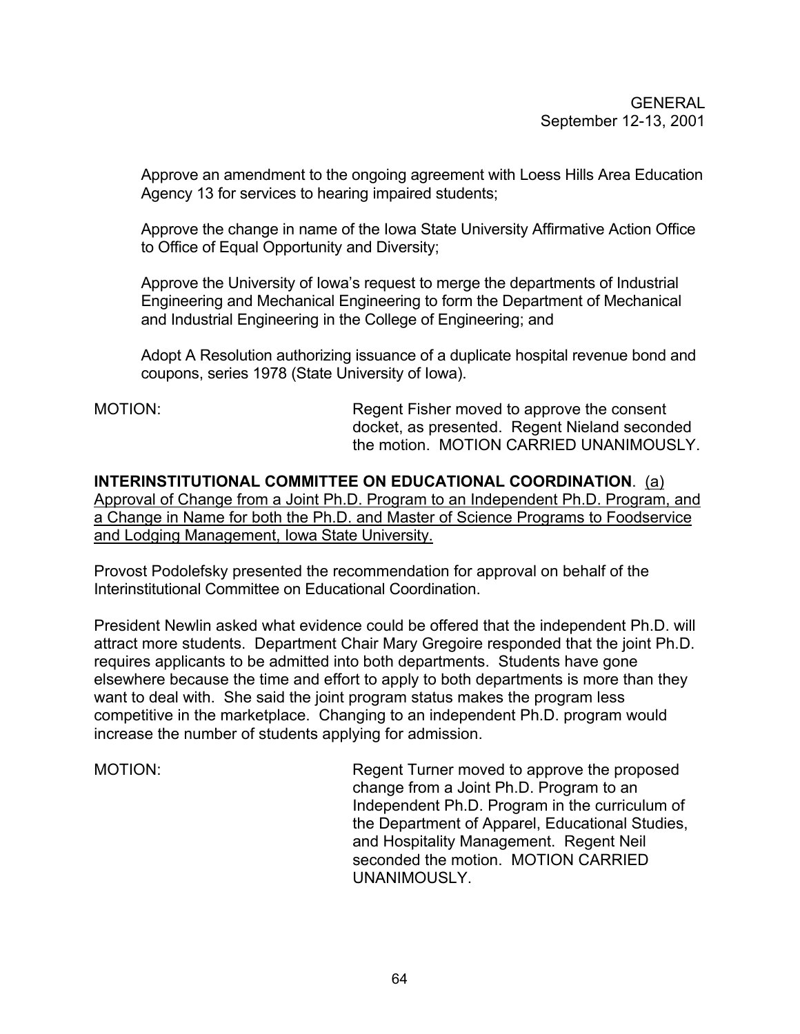Approve an amendment to the ongoing agreement with Loess Hills Area Education Agency 13 for services to hearing impaired students;

Approve the change in name of the Iowa State University Affirmative Action Office to Office of Equal Opportunity and Diversity;

Approve the University of Iowa's request to merge the departments of Industrial Engineering and Mechanical Engineering to form the Department of Mechanical and Industrial Engineering in the College of Engineering; and

Adopt A Resolution authorizing issuance of a duplicate hospital revenue bond and coupons, series 1978 (State University of Iowa).

MOTION: **Regent Fisher moved to approve the consent** docket, as presented. Regent Nieland seconded the motion. MOTION CARRIED UNANIMOUSLY.

**INTERINSTITUTIONAL COMMITTEE ON EDUCATIONAL COORDINATION**. (a) Approval of Change from a Joint Ph.D. Program to an Independent Ph.D. Program, and a Change in Name for both the Ph.D. and Master of Science Programs to Foodservice and Lodging Management, Iowa State University.

Provost Podolefsky presented the recommendation for approval on behalf of the Interinstitutional Committee on Educational Coordination.

President Newlin asked what evidence could be offered that the independent Ph.D. will attract more students. Department Chair Mary Gregoire responded that the joint Ph.D. requires applicants to be admitted into both departments. Students have gone elsewhere because the time and effort to apply to both departments is more than they want to deal with. She said the joint program status makes the program less competitive in the marketplace. Changing to an independent Ph.D. program would increase the number of students applying for admission.

MOTION: Regent Turner moved to approve the proposed change from a Joint Ph.D. Program to an Independent Ph.D. Program in the curriculum of the Department of Apparel, Educational Studies, and Hospitality Management. Regent Neil seconded the motion. MOTION CARRIED UNANIMOUSLY.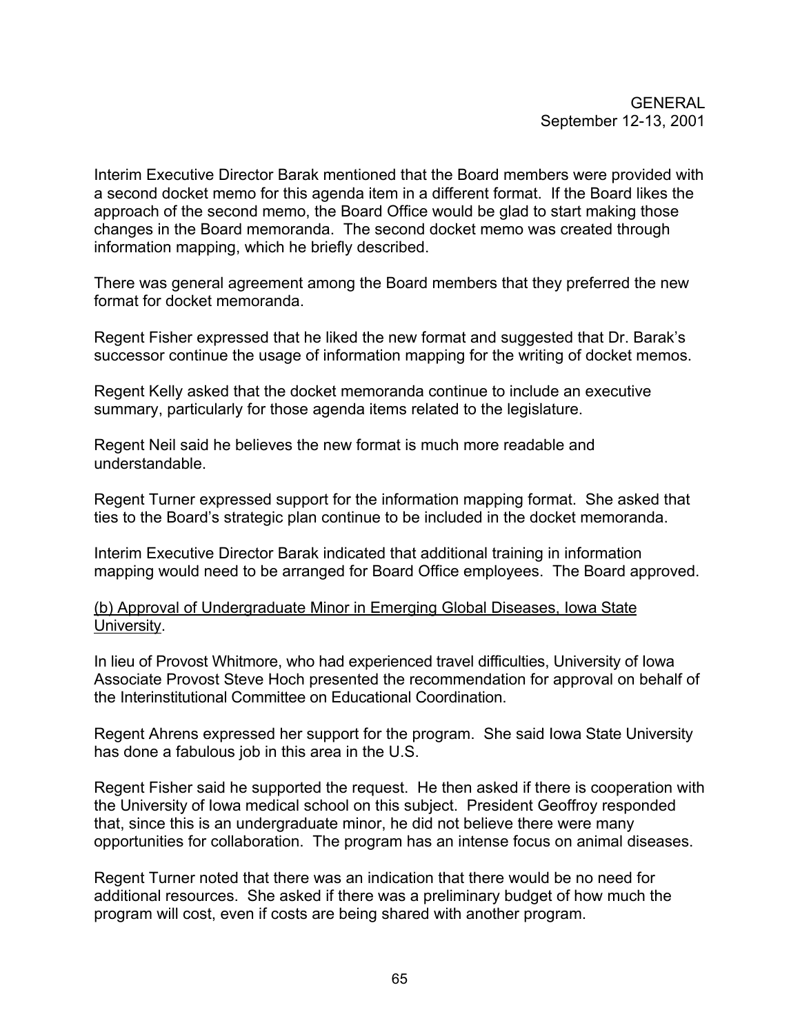Interim Executive Director Barak mentioned that the Board members were provided with a second docket memo for this agenda item in a different format. If the Board likes the approach of the second memo, the Board Office would be glad to start making those changes in the Board memoranda. The second docket memo was created through information mapping, which he briefly described.

There was general agreement among the Board members that they preferred the new format for docket memoranda.

Regent Fisher expressed that he liked the new format and suggested that Dr. Barak's successor continue the usage of information mapping for the writing of docket memos.

Regent Kelly asked that the docket memoranda continue to include an executive summary, particularly for those agenda items related to the legislature.

Regent Neil said he believes the new format is much more readable and understandable.

Regent Turner expressed support for the information mapping format. She asked that ties to the Board's strategic plan continue to be included in the docket memoranda.

Interim Executive Director Barak indicated that additional training in information mapping would need to be arranged for Board Office employees. The Board approved.

(b) Approval of Undergraduate Minor in Emerging Global Diseases, Iowa State University.

In lieu of Provost Whitmore, who had experienced travel difficulties, University of Iowa Associate Provost Steve Hoch presented the recommendation for approval on behalf of the Interinstitutional Committee on Educational Coordination.

Regent Ahrens expressed her support for the program. She said Iowa State University has done a fabulous job in this area in the U.S.

Regent Fisher said he supported the request. He then asked if there is cooperation with the University of Iowa medical school on this subject. President Geoffroy responded that, since this is an undergraduate minor, he did not believe there were many opportunities for collaboration. The program has an intense focus on animal diseases.

Regent Turner noted that there was an indication that there would be no need for additional resources. She asked if there was a preliminary budget of how much the program will cost, even if costs are being shared with another program.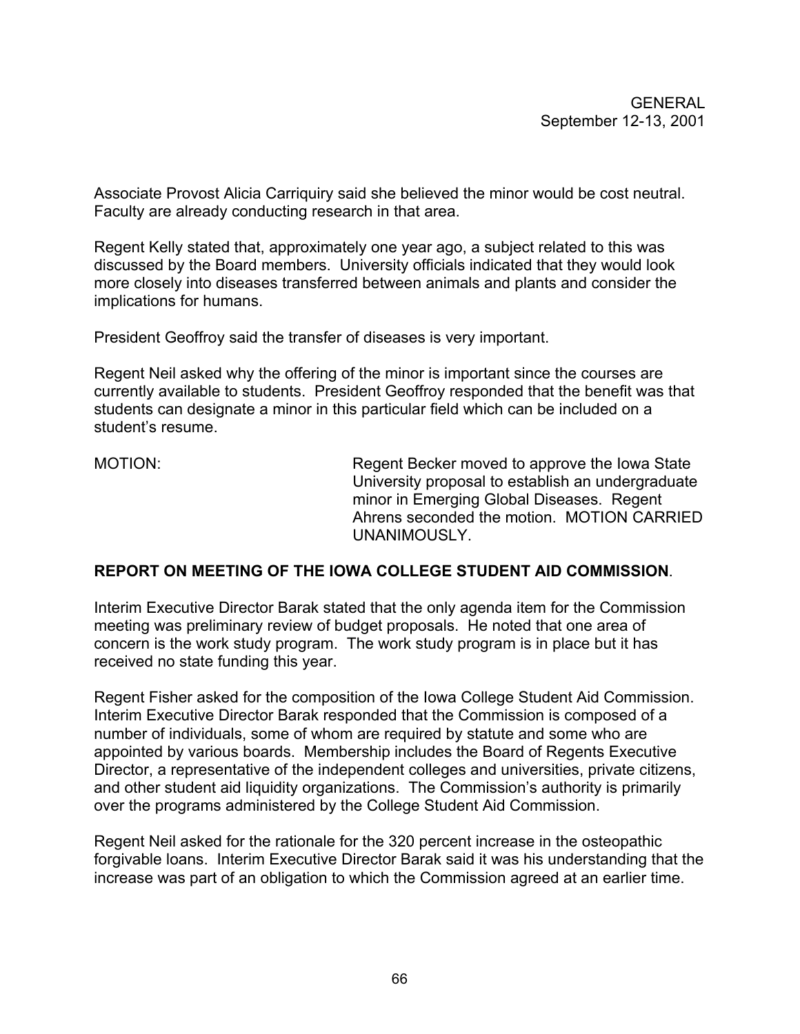Associate Provost Alicia Carriquiry said she believed the minor would be cost neutral. Faculty are already conducting research in that area.

Regent Kelly stated that, approximately one year ago, a subject related to this was discussed by the Board members. University officials indicated that they would look more closely into diseases transferred between animals and plants and consider the implications for humans.

President Geoffroy said the transfer of diseases is very important.

Regent Neil asked why the offering of the minor is important since the courses are currently available to students. President Geoffroy responded that the benefit was that students can designate a minor in this particular field which can be included on a student's resume.

MOTION: Regent Becker moved to approve the Iowa State University proposal to establish an undergraduate minor in Emerging Global Diseases. Regent Ahrens seconded the motion. MOTION CARRIED UNANIMOUSLY.

#### **REPORT ON MEETING OF THE IOWA COLLEGE STUDENT AID COMMISSION**.

Interim Executive Director Barak stated that the only agenda item for the Commission meeting was preliminary review of budget proposals. He noted that one area of concern is the work study program. The work study program is in place but it has received no state funding this year.

Regent Fisher asked for the composition of the Iowa College Student Aid Commission. Interim Executive Director Barak responded that the Commission is composed of a number of individuals, some of whom are required by statute and some who are appointed by various boards. Membership includes the Board of Regents Executive Director, a representative of the independent colleges and universities, private citizens, and other student aid liquidity organizations. The Commission's authority is primarily over the programs administered by the College Student Aid Commission.

Regent Neil asked for the rationale for the 320 percent increase in the osteopathic forgivable loans. Interim Executive Director Barak said it was his understanding that the increase was part of an obligation to which the Commission agreed at an earlier time.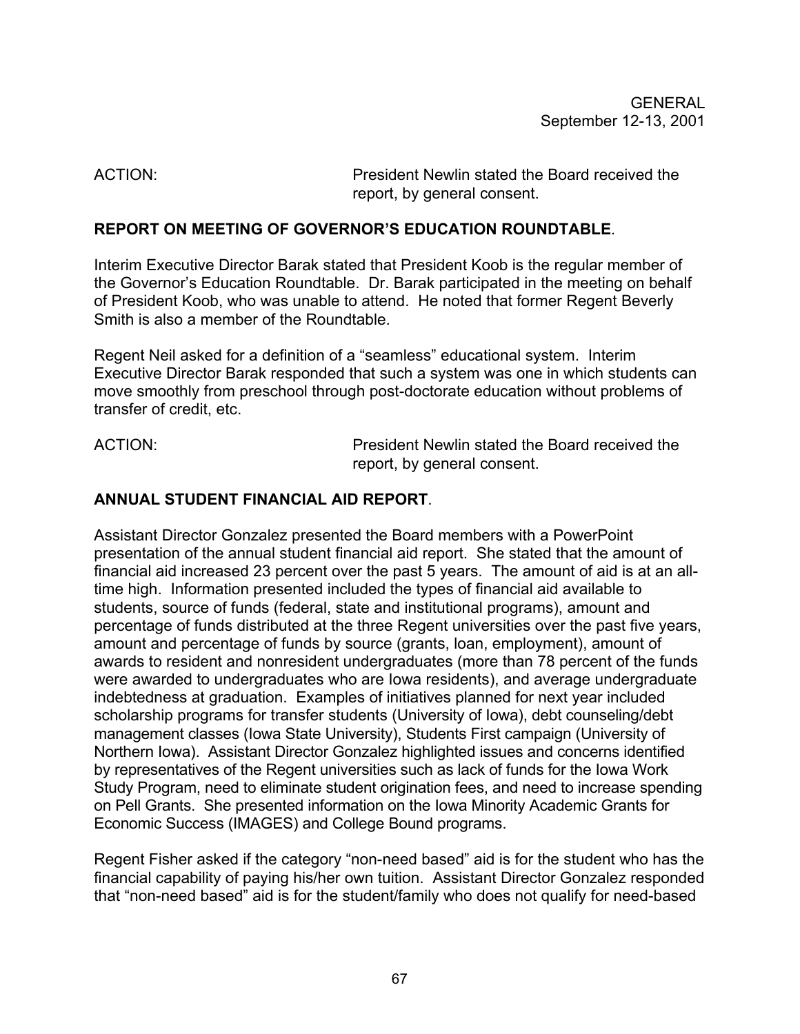ACTION: President Newlin stated the Board received the report, by general consent.

# **REPORT ON MEETING OF GOVERNOR'S EDUCATION ROUNDTABLE**.

Interim Executive Director Barak stated that President Koob is the regular member of the Governor's Education Roundtable. Dr. Barak participated in the meeting on behalf of President Koob, who was unable to attend. He noted that former Regent Beverly Smith is also a member of the Roundtable.

Regent Neil asked for a definition of a "seamless" educational system. Interim Executive Director Barak responded that such a system was one in which students can move smoothly from preschool through post-doctorate education without problems of transfer of credit, etc.

ACTION: President Newlin stated the Board received the report, by general consent.

# **ANNUAL STUDENT FINANCIAL AID REPORT**.

Assistant Director Gonzalez presented the Board members with a PowerPoint presentation of the annual student financial aid report. She stated that the amount of financial aid increased 23 percent over the past 5 years. The amount of aid is at an alltime high. Information presented included the types of financial aid available to students, source of funds (federal, state and institutional programs), amount and percentage of funds distributed at the three Regent universities over the past five years, amount and percentage of funds by source (grants, loan, employment), amount of awards to resident and nonresident undergraduates (more than 78 percent of the funds were awarded to undergraduates who are Iowa residents), and average undergraduate indebtedness at graduation. Examples of initiatives planned for next year included scholarship programs for transfer students (University of Iowa), debt counseling/debt management classes (Iowa State University), Students First campaign (University of Northern Iowa). Assistant Director Gonzalez highlighted issues and concerns identified by representatives of the Regent universities such as lack of funds for the Iowa Work Study Program, need to eliminate student origination fees, and need to increase spending on Pell Grants. She presented information on the Iowa Minority Academic Grants for Economic Success (IMAGES) and College Bound programs.

Regent Fisher asked if the category "non-need based" aid is for the student who has the financial capability of paying his/her own tuition. Assistant Director Gonzalez responded that "non-need based" aid is for the student/family who does not qualify for need-based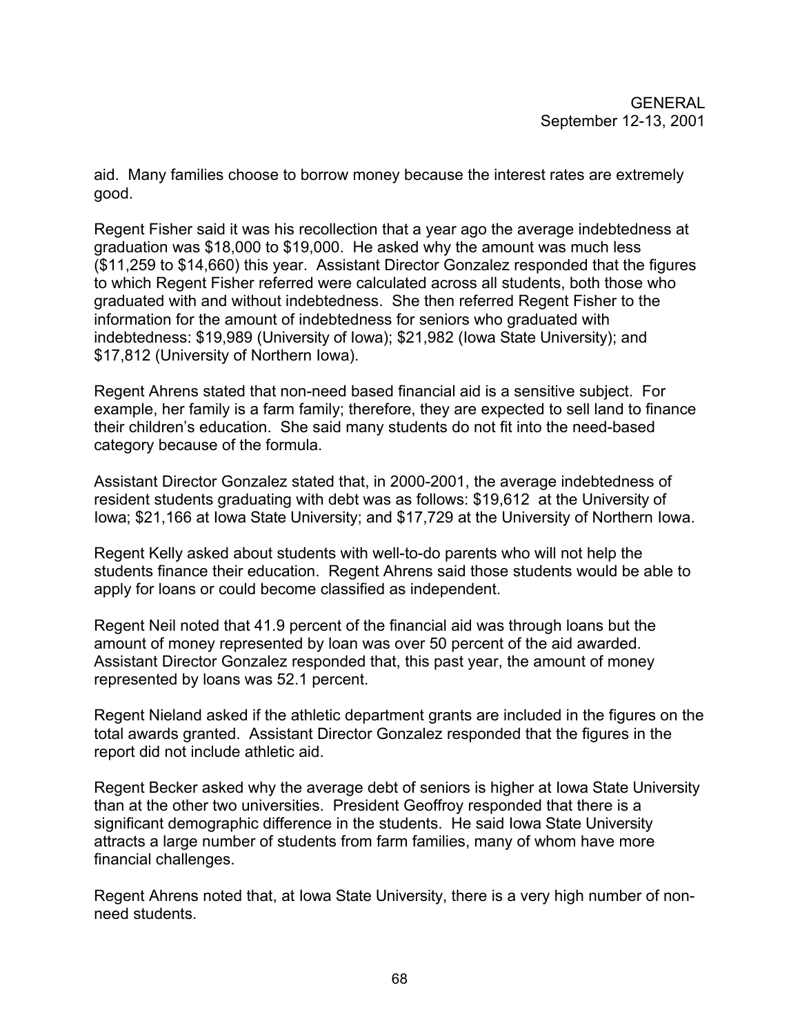aid. Many families choose to borrow money because the interest rates are extremely good.

Regent Fisher said it was his recollection that a year ago the average indebtedness at graduation was \$18,000 to \$19,000. He asked why the amount was much less (\$11,259 to \$14,660) this year. Assistant Director Gonzalez responded that the figures to which Regent Fisher referred were calculated across all students, both those who graduated with and without indebtedness. She then referred Regent Fisher to the information for the amount of indebtedness for seniors who graduated with indebtedness: \$19,989 (University of Iowa); \$21,982 (Iowa State University); and \$17,812 (University of Northern Iowa).

Regent Ahrens stated that non-need based financial aid is a sensitive subject. For example, her family is a farm family; therefore, they are expected to sell land to finance their children's education. She said many students do not fit into the need-based category because of the formula.

Assistant Director Gonzalez stated that, in 2000-2001, the average indebtedness of resident students graduating with debt was as follows: \$19,612 at the University of Iowa; \$21,166 at Iowa State University; and \$17,729 at the University of Northern Iowa.

Regent Kelly asked about students with well-to-do parents who will not help the students finance their education. Regent Ahrens said those students would be able to apply for loans or could become classified as independent.

Regent Neil noted that 41.9 percent of the financial aid was through loans but the amount of money represented by loan was over 50 percent of the aid awarded. Assistant Director Gonzalez responded that, this past year, the amount of money represented by loans was 52.1 percent.

Regent Nieland asked if the athletic department grants are included in the figures on the total awards granted. Assistant Director Gonzalez responded that the figures in the report did not include athletic aid.

Regent Becker asked why the average debt of seniors is higher at Iowa State University than at the other two universities. President Geoffroy responded that there is a significant demographic difference in the students. He said Iowa State University attracts a large number of students from farm families, many of whom have more financial challenges.

Regent Ahrens noted that, at Iowa State University, there is a very high number of nonneed students.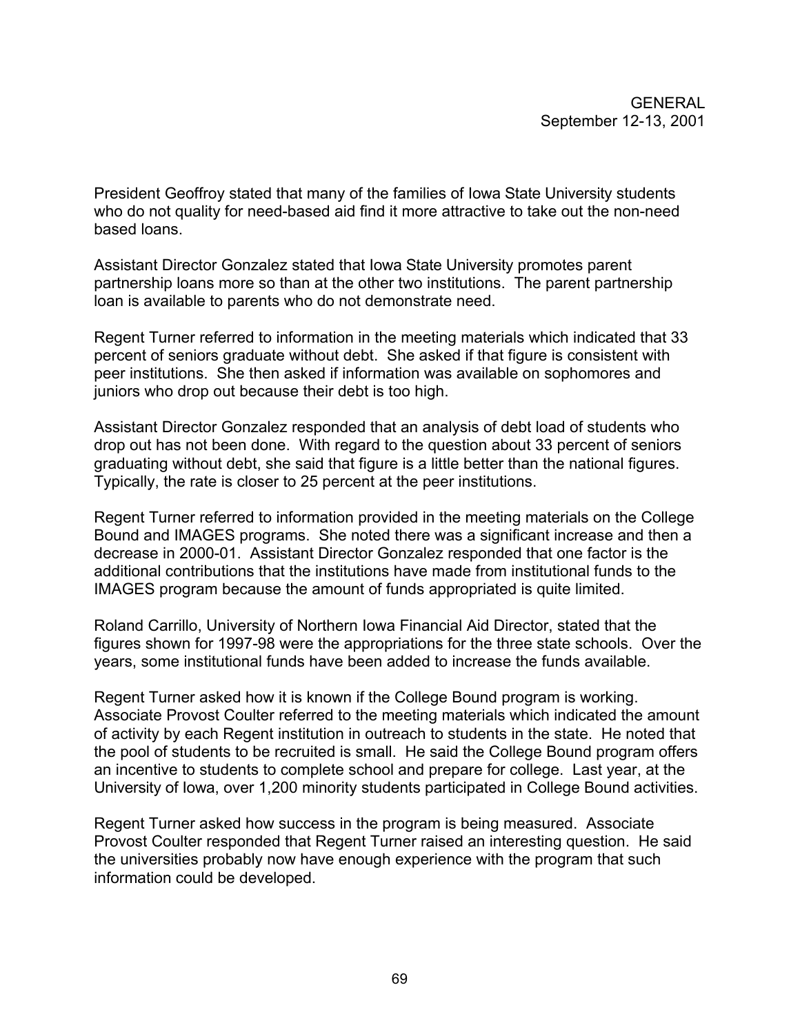President Geoffroy stated that many of the families of Iowa State University students who do not quality for need-based aid find it more attractive to take out the non-need based loans.

Assistant Director Gonzalez stated that Iowa State University promotes parent partnership loans more so than at the other two institutions. The parent partnership loan is available to parents who do not demonstrate need.

Regent Turner referred to information in the meeting materials which indicated that 33 percent of seniors graduate without debt. She asked if that figure is consistent with peer institutions. She then asked if information was available on sophomores and juniors who drop out because their debt is too high.

Assistant Director Gonzalez responded that an analysis of debt load of students who drop out has not been done. With regard to the question about 33 percent of seniors graduating without debt, she said that figure is a little better than the national figures. Typically, the rate is closer to 25 percent at the peer institutions.

Regent Turner referred to information provided in the meeting materials on the College Bound and IMAGES programs. She noted there was a significant increase and then a decrease in 2000-01. Assistant Director Gonzalez responded that one factor is the additional contributions that the institutions have made from institutional funds to the IMAGES program because the amount of funds appropriated is quite limited.

Roland Carrillo, University of Northern Iowa Financial Aid Director, stated that the figures shown for 1997-98 were the appropriations for the three state schools. Over the years, some institutional funds have been added to increase the funds available.

Regent Turner asked how it is known if the College Bound program is working. Associate Provost Coulter referred to the meeting materials which indicated the amount of activity by each Regent institution in outreach to students in the state. He noted that the pool of students to be recruited is small. He said the College Bound program offers an incentive to students to complete school and prepare for college. Last year, at the University of Iowa, over 1,200 minority students participated in College Bound activities.

Regent Turner asked how success in the program is being measured. Associate Provost Coulter responded that Regent Turner raised an interesting question. He said the universities probably now have enough experience with the program that such information could be developed.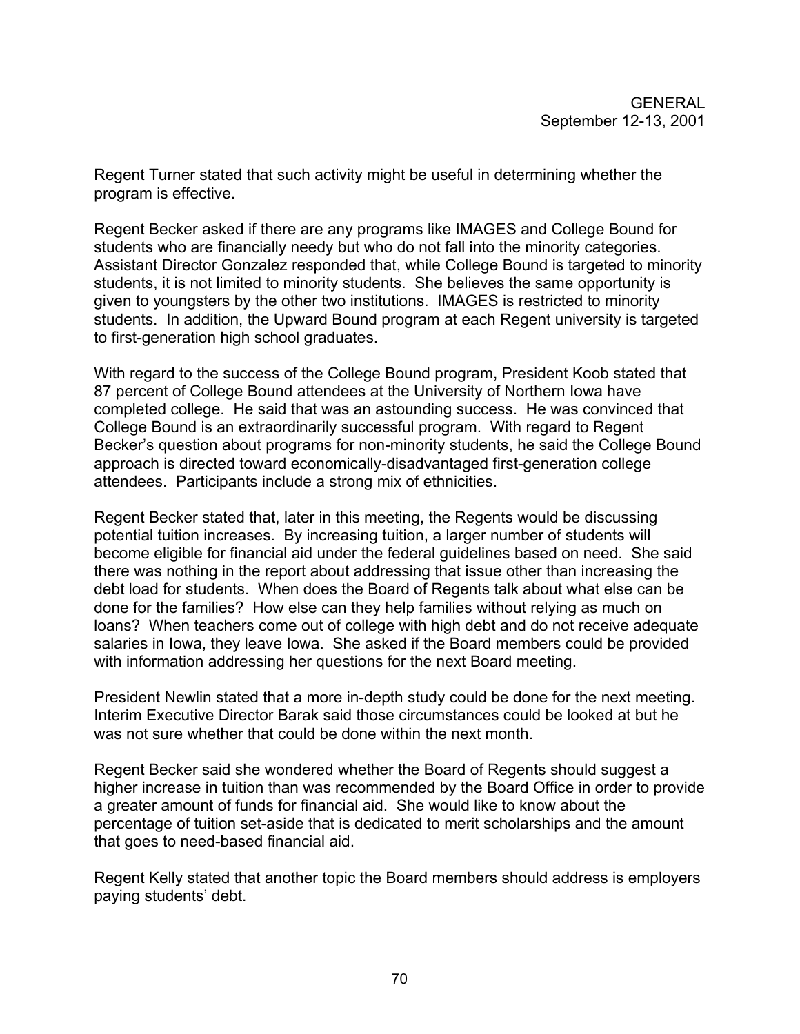Regent Turner stated that such activity might be useful in determining whether the program is effective.

Regent Becker asked if there are any programs like IMAGES and College Bound for students who are financially needy but who do not fall into the minority categories. Assistant Director Gonzalez responded that, while College Bound is targeted to minority students, it is not limited to minority students. She believes the same opportunity is given to youngsters by the other two institutions. IMAGES is restricted to minority students. In addition, the Upward Bound program at each Regent university is targeted to first-generation high school graduates.

With regard to the success of the College Bound program, President Koob stated that 87 percent of College Bound attendees at the University of Northern Iowa have completed college. He said that was an astounding success. He was convinced that College Bound is an extraordinarily successful program. With regard to Regent Becker's question about programs for non-minority students, he said the College Bound approach is directed toward economically-disadvantaged first-generation college attendees. Participants include a strong mix of ethnicities.

Regent Becker stated that, later in this meeting, the Regents would be discussing potential tuition increases. By increasing tuition, a larger number of students will become eligible for financial aid under the federal guidelines based on need. She said there was nothing in the report about addressing that issue other than increasing the debt load for students. When does the Board of Regents talk about what else can be done for the families? How else can they help families without relying as much on loans? When teachers come out of college with high debt and do not receive adequate salaries in Iowa, they leave Iowa. She asked if the Board members could be provided with information addressing her questions for the next Board meeting.

President Newlin stated that a more in-depth study could be done for the next meeting. Interim Executive Director Barak said those circumstances could be looked at but he was not sure whether that could be done within the next month.

Regent Becker said she wondered whether the Board of Regents should suggest a higher increase in tuition than was recommended by the Board Office in order to provide a greater amount of funds for financial aid. She would like to know about the percentage of tuition set-aside that is dedicated to merit scholarships and the amount that goes to need-based financial aid.

Regent Kelly stated that another topic the Board members should address is employers paying students' debt.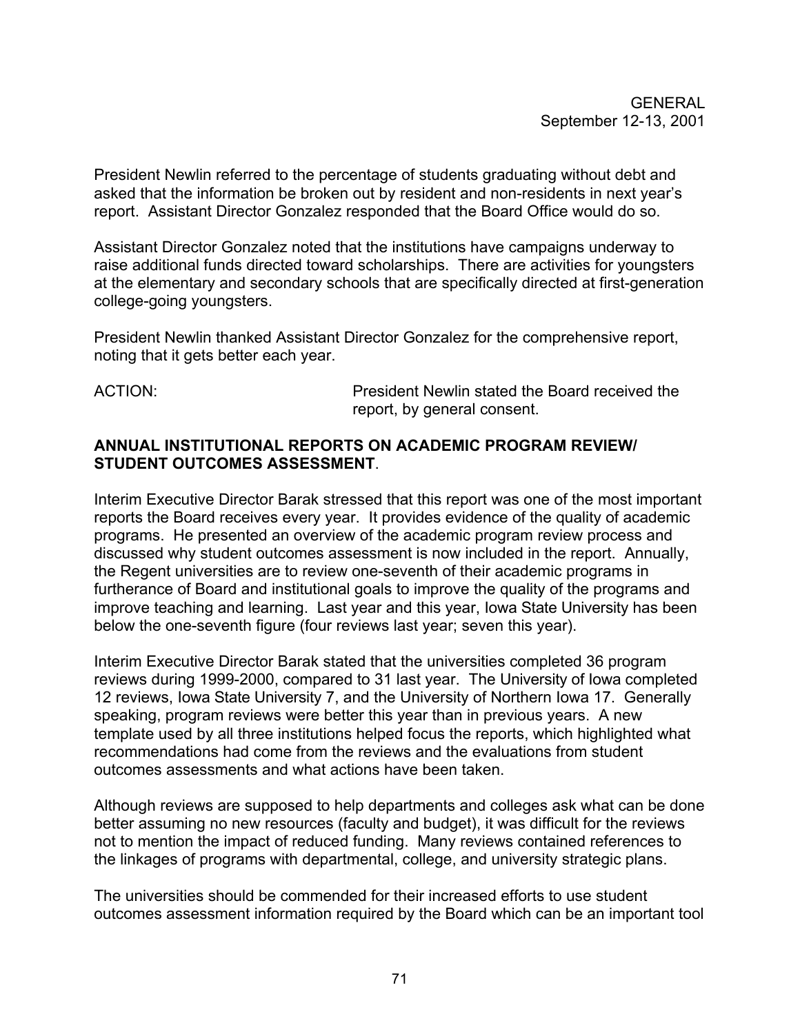President Newlin referred to the percentage of students graduating without debt and asked that the information be broken out by resident and non-residents in next year's report. Assistant Director Gonzalez responded that the Board Office would do so.

Assistant Director Gonzalez noted that the institutions have campaigns underway to raise additional funds directed toward scholarships. There are activities for youngsters at the elementary and secondary schools that are specifically directed at first-generation college-going youngsters.

President Newlin thanked Assistant Director Gonzalez for the comprehensive report, noting that it gets better each year.

ACTION: President Newlin stated the Board received the report, by general consent.

# **ANNUAL INSTITUTIONAL REPORTS ON ACADEMIC PROGRAM REVIEW/ STUDENT OUTCOMES ASSESSMENT**.

Interim Executive Director Barak stressed that this report was one of the most important reports the Board receives every year. It provides evidence of the quality of academic programs. He presented an overview of the academic program review process and discussed why student outcomes assessment is now included in the report. Annually, the Regent universities are to review one-seventh of their academic programs in furtherance of Board and institutional goals to improve the quality of the programs and improve teaching and learning. Last year and this year, Iowa State University has been below the one-seventh figure (four reviews last year; seven this year).

Interim Executive Director Barak stated that the universities completed 36 program reviews during 1999-2000, compared to 31 last year. The University of Iowa completed 12 reviews, Iowa State University 7, and the University of Northern Iowa 17. Generally speaking, program reviews were better this year than in previous years. A new template used by all three institutions helped focus the reports, which highlighted what recommendations had come from the reviews and the evaluations from student outcomes assessments and what actions have been taken.

Although reviews are supposed to help departments and colleges ask what can be done better assuming no new resources (faculty and budget), it was difficult for the reviews not to mention the impact of reduced funding. Many reviews contained references to the linkages of programs with departmental, college, and university strategic plans.

The universities should be commended for their increased efforts to use student outcomes assessment information required by the Board which can be an important tool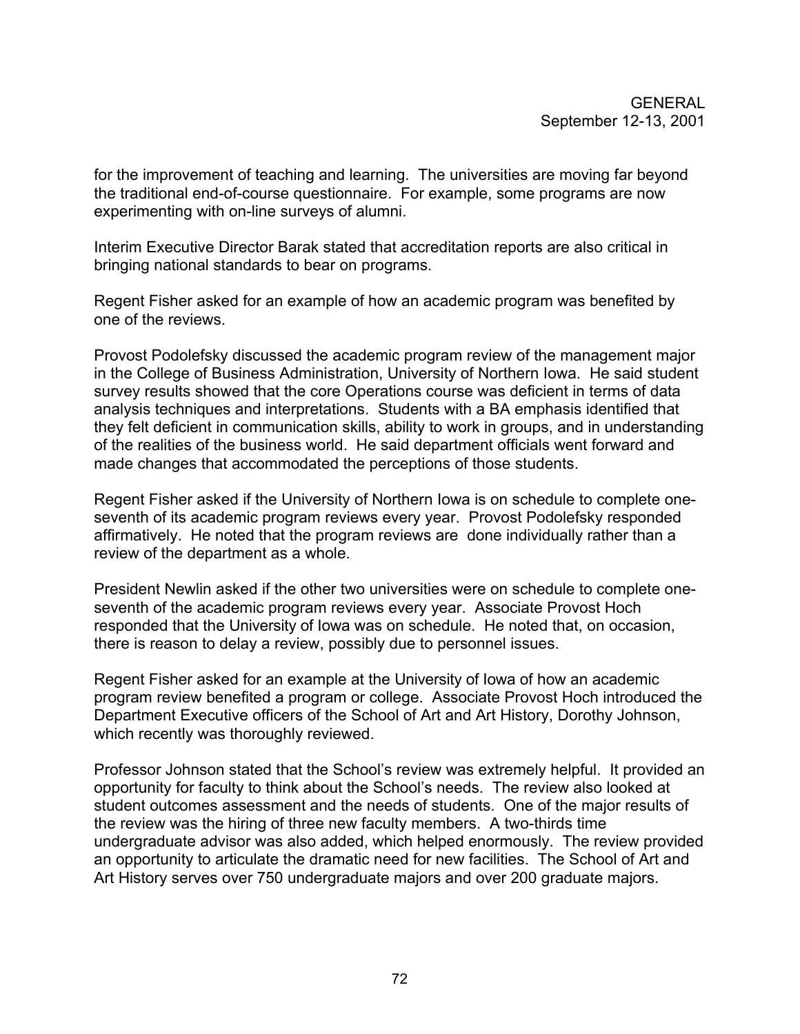for the improvement of teaching and learning. The universities are moving far beyond the traditional end-of-course questionnaire. For example, some programs are now experimenting with on-line surveys of alumni.

Interim Executive Director Barak stated that accreditation reports are also critical in bringing national standards to bear on programs.

Regent Fisher asked for an example of how an academic program was benefited by one of the reviews.

Provost Podolefsky discussed the academic program review of the management major in the College of Business Administration, University of Northern Iowa. He said student survey results showed that the core Operations course was deficient in terms of data analysis techniques and interpretations. Students with a BA emphasis identified that they felt deficient in communication skills, ability to work in groups, and in understanding of the realities of the business world. He said department officials went forward and made changes that accommodated the perceptions of those students.

Regent Fisher asked if the University of Northern Iowa is on schedule to complete oneseventh of its academic program reviews every year. Provost Podolefsky responded affirmatively. He noted that the program reviews are done individually rather than a review of the department as a whole.

President Newlin asked if the other two universities were on schedule to complete oneseventh of the academic program reviews every year. Associate Provost Hoch responded that the University of Iowa was on schedule. He noted that, on occasion, there is reason to delay a review, possibly due to personnel issues.

Regent Fisher asked for an example at the University of Iowa of how an academic program review benefited a program or college. Associate Provost Hoch introduced the Department Executive officers of the School of Art and Art History, Dorothy Johnson, which recently was thoroughly reviewed.

Professor Johnson stated that the School's review was extremely helpful. It provided an opportunity for faculty to think about the School's needs. The review also looked at student outcomes assessment and the needs of students. One of the major results of the review was the hiring of three new faculty members. A two-thirds time undergraduate advisor was also added, which helped enormously. The review provided an opportunity to articulate the dramatic need for new facilities. The School of Art and Art History serves over 750 undergraduate majors and over 200 graduate majors.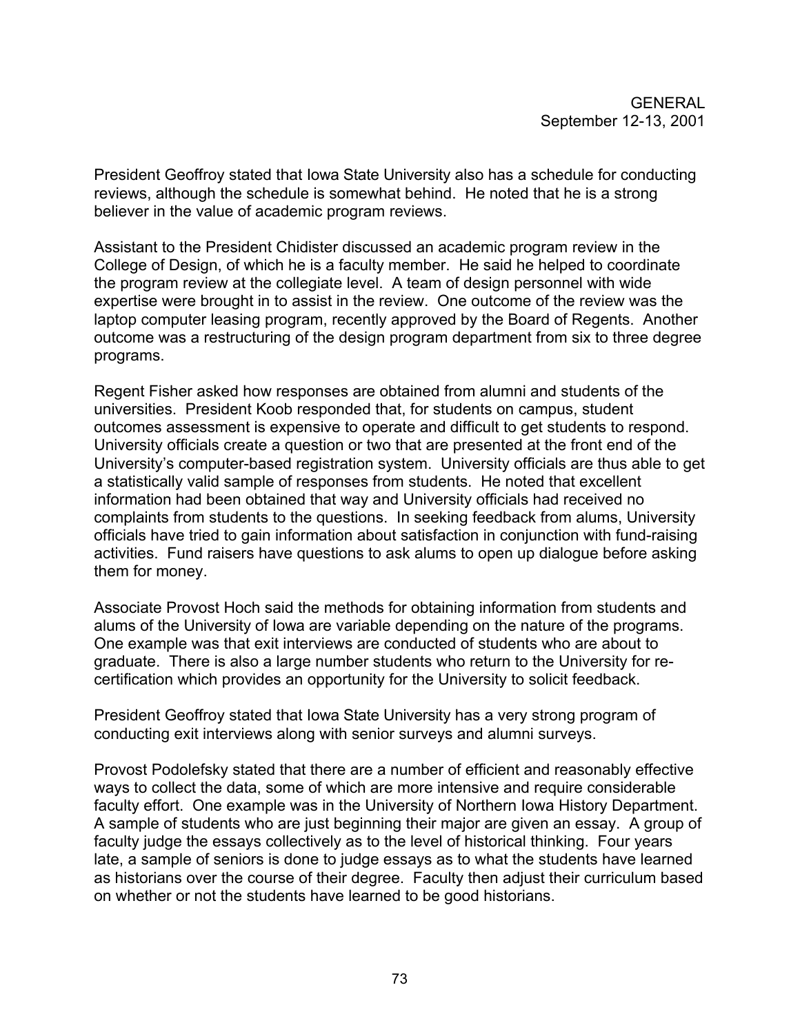President Geoffroy stated that Iowa State University also has a schedule for conducting reviews, although the schedule is somewhat behind. He noted that he is a strong believer in the value of academic program reviews.

Assistant to the President Chidister discussed an academic program review in the College of Design, of which he is a faculty member. He said he helped to coordinate the program review at the collegiate level. A team of design personnel with wide expertise were brought in to assist in the review. One outcome of the review was the laptop computer leasing program, recently approved by the Board of Regents. Another outcome was a restructuring of the design program department from six to three degree programs.

Regent Fisher asked how responses are obtained from alumni and students of the universities. President Koob responded that, for students on campus, student outcomes assessment is expensive to operate and difficult to get students to respond. University officials create a question or two that are presented at the front end of the University's computer-based registration system. University officials are thus able to get a statistically valid sample of responses from students. He noted that excellent information had been obtained that way and University officials had received no complaints from students to the questions. In seeking feedback from alums, University officials have tried to gain information about satisfaction in conjunction with fund-raising activities. Fund raisers have questions to ask alums to open up dialogue before asking them for money.

Associate Provost Hoch said the methods for obtaining information from students and alums of the University of Iowa are variable depending on the nature of the programs. One example was that exit interviews are conducted of students who are about to graduate. There is also a large number students who return to the University for recertification which provides an opportunity for the University to solicit feedback.

President Geoffroy stated that Iowa State University has a very strong program of conducting exit interviews along with senior surveys and alumni surveys.

Provost Podolefsky stated that there are a number of efficient and reasonably effective ways to collect the data, some of which are more intensive and require considerable faculty effort. One example was in the University of Northern Iowa History Department. A sample of students who are just beginning their major are given an essay. A group of faculty judge the essays collectively as to the level of historical thinking. Four years late, a sample of seniors is done to judge essays as to what the students have learned as historians over the course of their degree. Faculty then adjust their curriculum based on whether or not the students have learned to be good historians.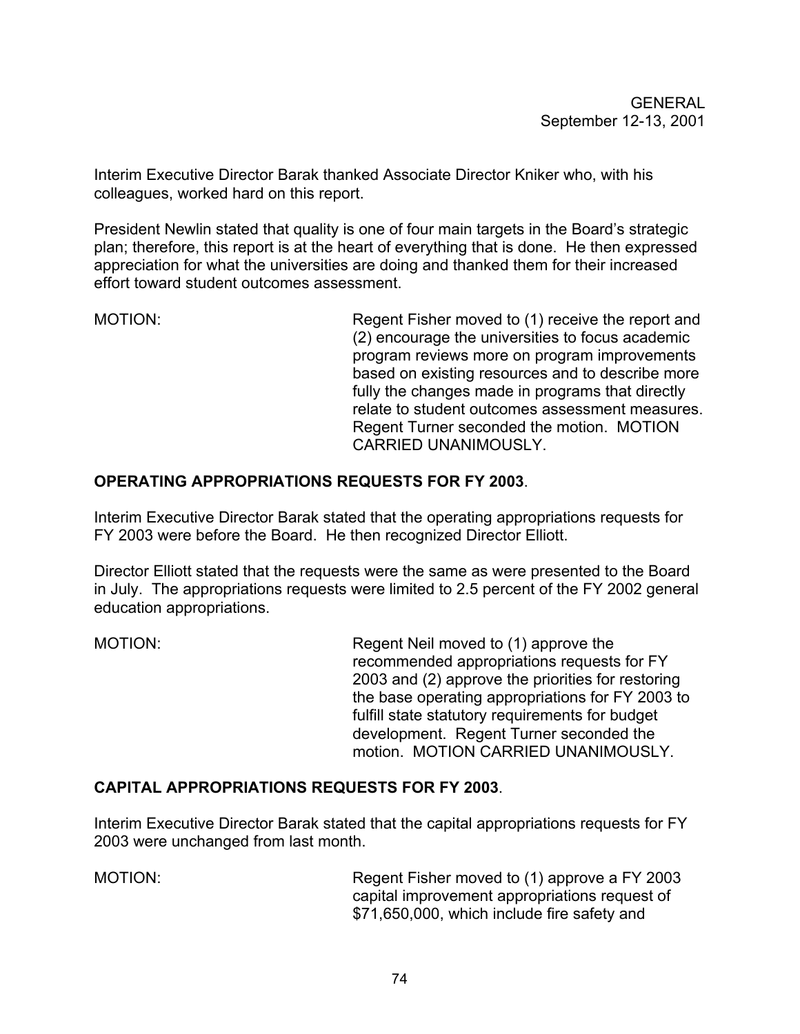Interim Executive Director Barak thanked Associate Director Kniker who, with his colleagues, worked hard on this report.

President Newlin stated that quality is one of four main targets in the Board's strategic plan; therefore, this report is at the heart of everything that is done. He then expressed appreciation for what the universities are doing and thanked them for their increased effort toward student outcomes assessment.

MOTION: Regent Fisher moved to (1) receive the report and (2) encourage the universities to focus academic program reviews more on program improvements based on existing resources and to describe more fully the changes made in programs that directly relate to student outcomes assessment measures. Regent Turner seconded the motion. MOTION CARRIED UNANIMOUSLY.

### **OPERATING APPROPRIATIONS REQUESTS FOR FY 2003**.

Interim Executive Director Barak stated that the operating appropriations requests for FY 2003 were before the Board. He then recognized Director Elliott.

Director Elliott stated that the requests were the same as were presented to the Board in July. The appropriations requests were limited to 2.5 percent of the FY 2002 general education appropriations.

MOTION: Regent Neil moved to (1) approve the recommended appropriations requests for FY 2003 and (2) approve the priorities for restoring the base operating appropriations for FY 2003 to fulfill state statutory requirements for budget development. Regent Turner seconded the motion. MOTION CARRIED UNANIMOUSLY.

#### **CAPITAL APPROPRIATIONS REQUESTS FOR FY 2003**.

Interim Executive Director Barak stated that the capital appropriations requests for FY 2003 were unchanged from last month.

MOTION: Regent Fisher moved to (1) approve a FY 2003 capital improvement appropriations request of \$71,650,000, which include fire safety and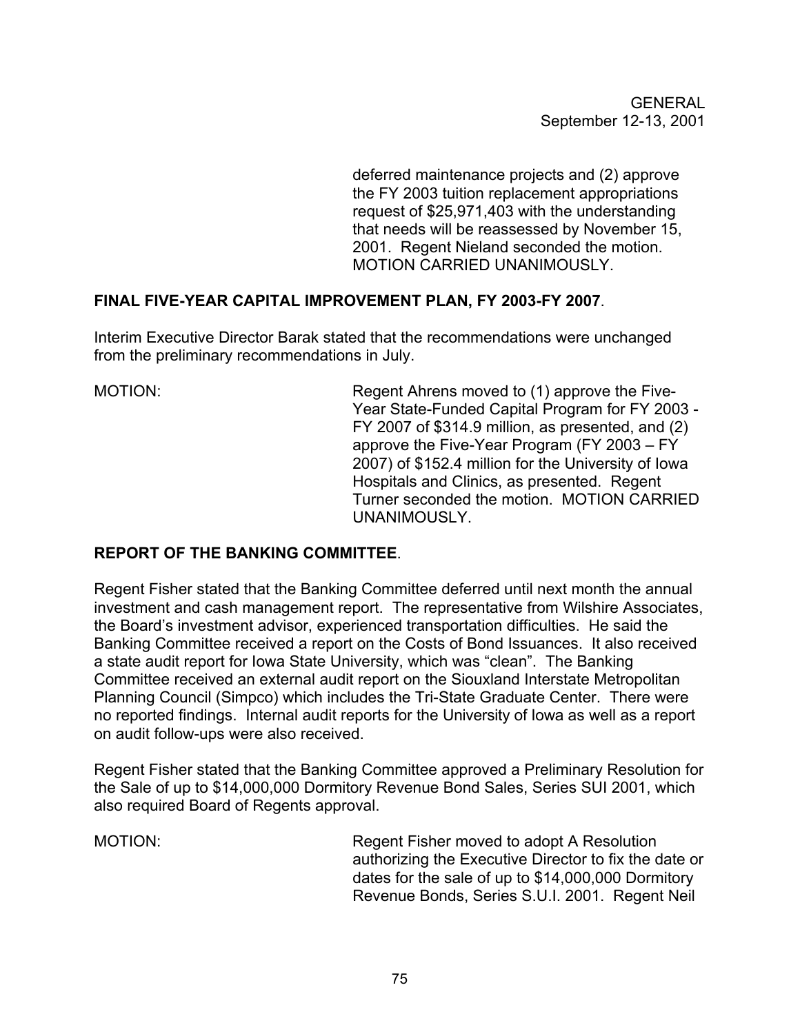deferred maintenance projects and (2) approve the FY 2003 tuition replacement appropriations request of \$25,971,403 with the understanding that needs will be reassessed by November 15, 2001. Regent Nieland seconded the motion. MOTION CARRIED UNANIMOUSLY.

# **FINAL FIVE-YEAR CAPITAL IMPROVEMENT PLAN, FY 2003-FY 2007**.

Interim Executive Director Barak stated that the recommendations were unchanged from the preliminary recommendations in July.

MOTION: Regent Ahrens moved to (1) approve the Five-Year State-Funded Capital Program for FY 2003 - FY 2007 of \$314.9 million, as presented, and (2) approve the Five-Year Program (FY 2003 – FY 2007) of \$152.4 million for the University of Iowa Hospitals and Clinics, as presented. Regent Turner seconded the motion. MOTION CARRIED UNANIMOUSLY.

# **REPORT OF THE BANKING COMMITTEE**.

Regent Fisher stated that the Banking Committee deferred until next month the annual investment and cash management report. The representative from Wilshire Associates, the Board's investment advisor, experienced transportation difficulties. He said the Banking Committee received a report on the Costs of Bond Issuances. It also received a state audit report for Iowa State University, which was "clean". The Banking Committee received an external audit report on the Siouxland Interstate Metropolitan Planning Council (Simpco) which includes the Tri-State Graduate Center. There were no reported findings. Internal audit reports for the University of Iowa as well as a report on audit follow-ups were also received.

Regent Fisher stated that the Banking Committee approved a Preliminary Resolution for the Sale of up to \$14,000,000 Dormitory Revenue Bond Sales, Series SUI 2001, which also required Board of Regents approval.

MOTION: Regent Fisher moved to adopt A Resolution authorizing the Executive Director to fix the date or dates for the sale of up to \$14,000,000 Dormitory Revenue Bonds, Series S.U.I. 2001. Regent Neil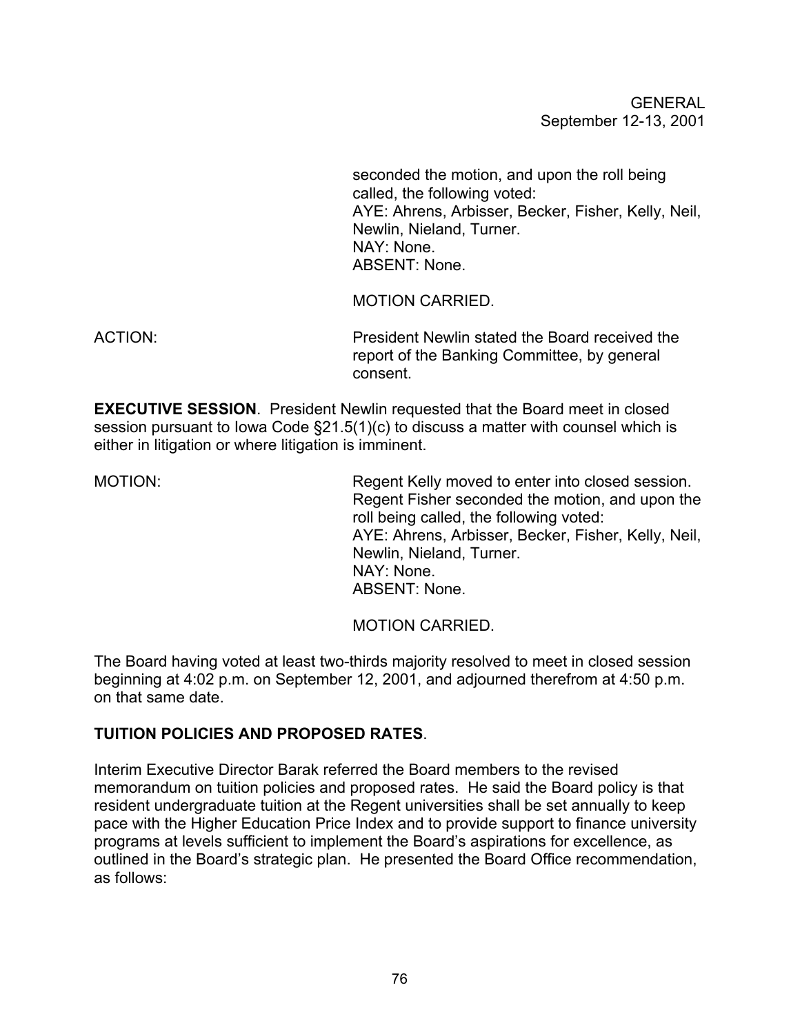GENERAL September 12-13, 2001

 seconded the motion, and upon the roll being called, the following voted: AYE: Ahrens, Arbisser, Becker, Fisher, Kelly, Neil, Newlin, Nieland, Turner. NAY: None. ABSENT: None.

MOTION CARRIED.

ACTION: President Newlin stated the Board received the report of the Banking Committee, by general consent.

**EXECUTIVE SESSION**. President Newlin requested that the Board meet in closed session pursuant to Iowa Code §21.5(1)(c) to discuss a matter with counsel which is either in litigation or where litigation is imminent.

MOTION: Regent Kelly moved to enter into closed session. Regent Fisher seconded the motion, and upon the roll being called, the following voted: AYE: Ahrens, Arbisser, Becker, Fisher, Kelly, Neil, Newlin, Nieland, Turner. NAY: None. ABSENT: None.

MOTION CARRIED.

The Board having voted at least two-thirds majority resolved to meet in closed session beginning at 4:02 p.m. on September 12, 2001, and adjourned therefrom at 4:50 p.m. on that same date.

# **TUITION POLICIES AND PROPOSED RATES**.

Interim Executive Director Barak referred the Board members to the revised memorandum on tuition policies and proposed rates. He said the Board policy is that resident undergraduate tuition at the Regent universities shall be set annually to keep pace with the Higher Education Price Index and to provide support to finance university programs at levels sufficient to implement the Board's aspirations for excellence, as outlined in the Board's strategic plan. He presented the Board Office recommendation, as follows: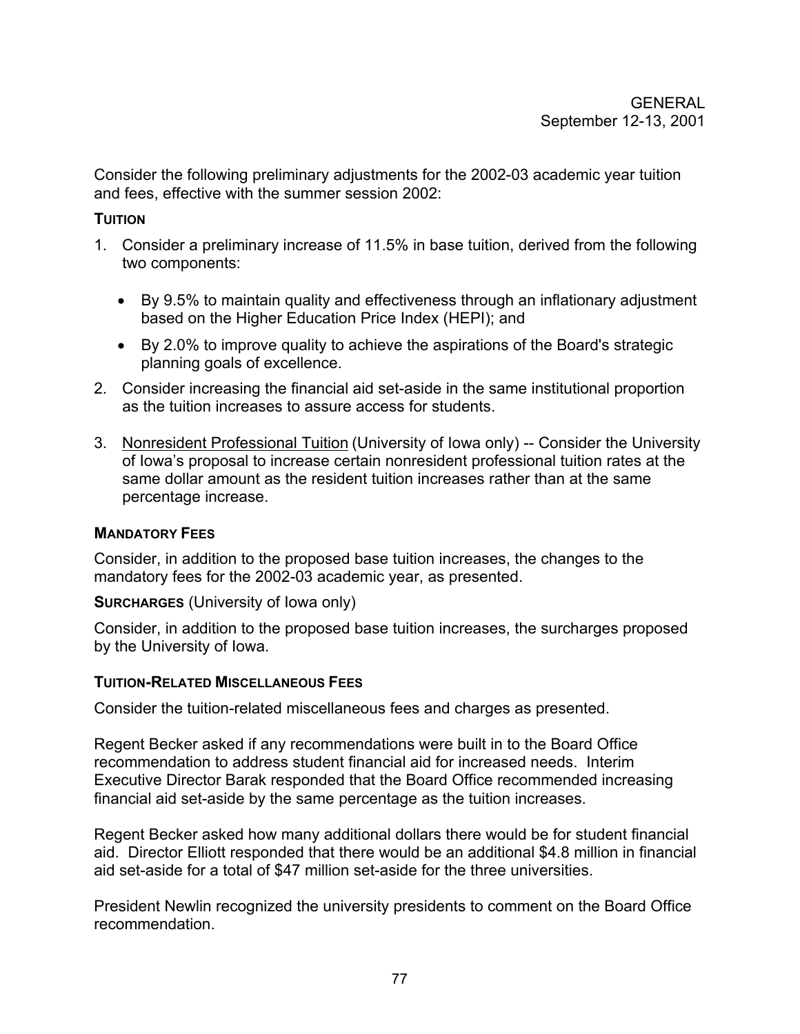Consider the following preliminary adjustments for the 2002-03 academic year tuition and fees, effective with the summer session 2002:

#### **TUITION**

- 1. Consider a preliminary increase of 11.5% in base tuition, derived from the following two components:
	- By 9.5% to maintain quality and effectiveness through an inflationary adjustment based on the Higher Education Price Index (HEPI); and
	- By 2.0% to improve quality to achieve the aspirations of the Board's strategic planning goals of excellence.
- 2. Consider increasing the financial aid set-aside in the same institutional proportion as the tuition increases to assure access for students.
- 3. Nonresident Professional Tuition (University of Iowa only) -- Consider the University of Iowa's proposal to increase certain nonresident professional tuition rates at the same dollar amount as the resident tuition increases rather than at the same percentage increase.

# **MANDATORY FEES**

Consider, in addition to the proposed base tuition increases, the changes to the mandatory fees for the 2002-03 academic year, as presented.

#### **SURCHARGES** (University of Iowa only)

Consider, in addition to the proposed base tuition increases, the surcharges proposed by the University of Iowa.

#### **TUITION-RELATED MISCELLANEOUS FEES**

Consider the tuition-related miscellaneous fees and charges as presented.

Regent Becker asked if any recommendations were built in to the Board Office recommendation to address student financial aid for increased needs. Interim Executive Director Barak responded that the Board Office recommended increasing financial aid set-aside by the same percentage as the tuition increases.

Regent Becker asked how many additional dollars there would be for student financial aid. Director Elliott responded that there would be an additional \$4.8 million in financial aid set-aside for a total of \$47 million set-aside for the three universities.

President Newlin recognized the university presidents to comment on the Board Office recommendation.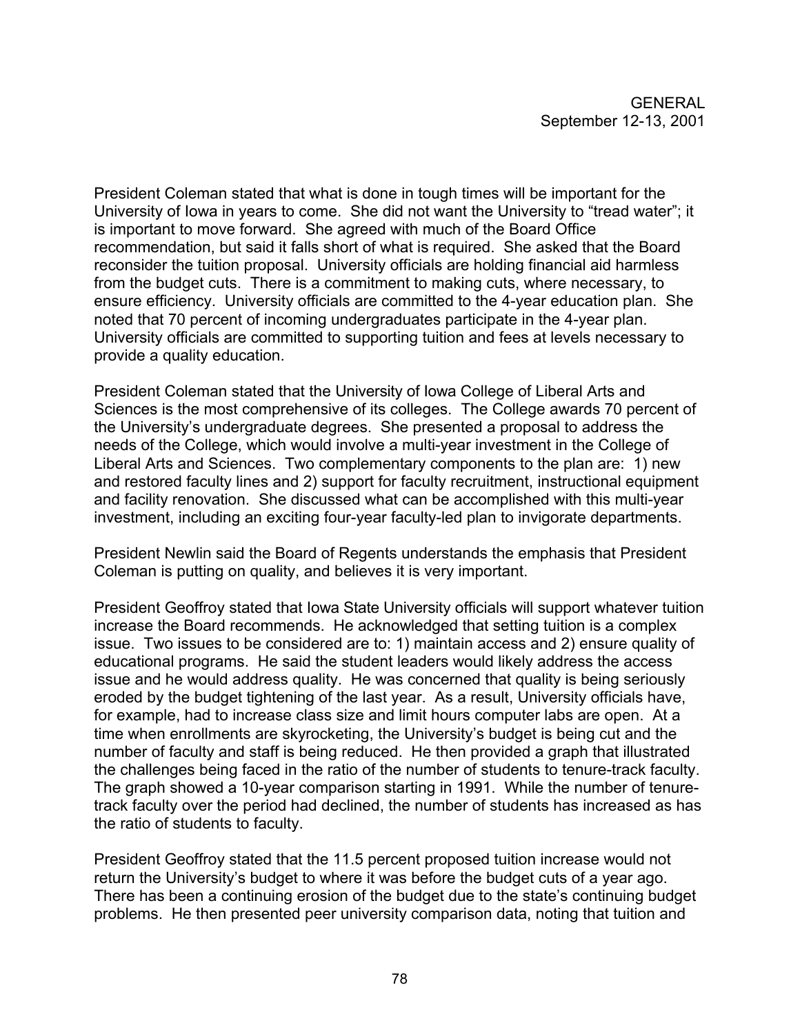President Coleman stated that what is done in tough times will be important for the University of Iowa in years to come. She did not want the University to "tread water"; it is important to move forward. She agreed with much of the Board Office recommendation, but said it falls short of what is required. She asked that the Board reconsider the tuition proposal. University officials are holding financial aid harmless from the budget cuts. There is a commitment to making cuts, where necessary, to ensure efficiency. University officials are committed to the 4-year education plan. She noted that 70 percent of incoming undergraduates participate in the 4-year plan. University officials are committed to supporting tuition and fees at levels necessary to provide a quality education.

President Coleman stated that the University of Iowa College of Liberal Arts and Sciences is the most comprehensive of its colleges. The College awards 70 percent of the University's undergraduate degrees. She presented a proposal to address the needs of the College, which would involve a multi-year investment in the College of Liberal Arts and Sciences. Two complementary components to the plan are: 1) new and restored faculty lines and 2) support for faculty recruitment, instructional equipment and facility renovation. She discussed what can be accomplished with this multi-year investment, including an exciting four-year faculty-led plan to invigorate departments.

President Newlin said the Board of Regents understands the emphasis that President Coleman is putting on quality, and believes it is very important.

President Geoffroy stated that Iowa State University officials will support whatever tuition increase the Board recommends. He acknowledged that setting tuition is a complex issue. Two issues to be considered are to: 1) maintain access and 2) ensure quality of educational programs. He said the student leaders would likely address the access issue and he would address quality. He was concerned that quality is being seriously eroded by the budget tightening of the last year. As a result, University officials have, for example, had to increase class size and limit hours computer labs are open. At a time when enrollments are skyrocketing, the University's budget is being cut and the number of faculty and staff is being reduced. He then provided a graph that illustrated the challenges being faced in the ratio of the number of students to tenure-track faculty. The graph showed a 10-year comparison starting in 1991. While the number of tenuretrack faculty over the period had declined, the number of students has increased as has the ratio of students to faculty.

President Geoffroy stated that the 11.5 percent proposed tuition increase would not return the University's budget to where it was before the budget cuts of a year ago. There has been a continuing erosion of the budget due to the state's continuing budget problems. He then presented peer university comparison data, noting that tuition and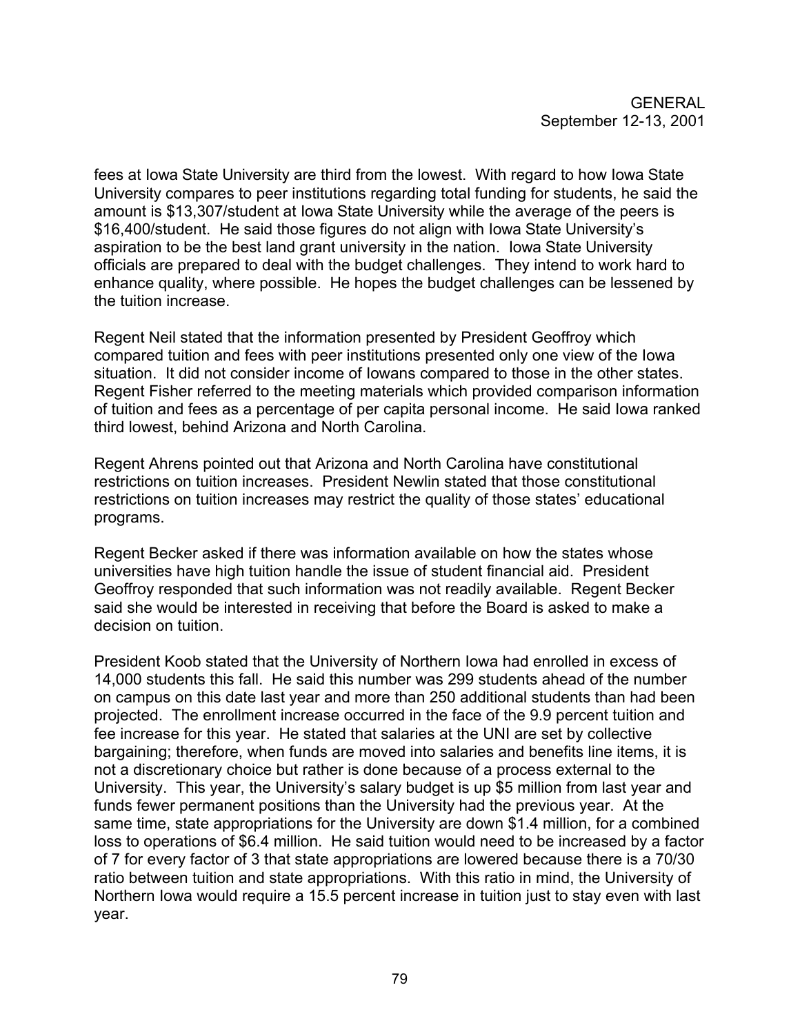fees at Iowa State University are third from the lowest. With regard to how Iowa State University compares to peer institutions regarding total funding for students, he said the amount is \$13,307/student at Iowa State University while the average of the peers is \$16,400/student. He said those figures do not align with Iowa State University's aspiration to be the best land grant university in the nation. Iowa State University officials are prepared to deal with the budget challenges. They intend to work hard to enhance quality, where possible. He hopes the budget challenges can be lessened by the tuition increase.

Regent Neil stated that the information presented by President Geoffroy which compared tuition and fees with peer institutions presented only one view of the Iowa situation. It did not consider income of Iowans compared to those in the other states. Regent Fisher referred to the meeting materials which provided comparison information of tuition and fees as a percentage of per capita personal income. He said Iowa ranked third lowest, behind Arizona and North Carolina.

Regent Ahrens pointed out that Arizona and North Carolina have constitutional restrictions on tuition increases. President Newlin stated that those constitutional restrictions on tuition increases may restrict the quality of those states' educational programs.

Regent Becker asked if there was information available on how the states whose universities have high tuition handle the issue of student financial aid. President Geoffroy responded that such information was not readily available. Regent Becker said she would be interested in receiving that before the Board is asked to make a decision on tuition.

President Koob stated that the University of Northern Iowa had enrolled in excess of 14,000 students this fall. He said this number was 299 students ahead of the number on campus on this date last year and more than 250 additional students than had been projected. The enrollment increase occurred in the face of the 9.9 percent tuition and fee increase for this year. He stated that salaries at the UNI are set by collective bargaining; therefore, when funds are moved into salaries and benefits line items, it is not a discretionary choice but rather is done because of a process external to the University. This year, the University's salary budget is up \$5 million from last year and funds fewer permanent positions than the University had the previous year. At the same time, state appropriations for the University are down \$1.4 million, for a combined loss to operations of \$6.4 million. He said tuition would need to be increased by a factor of 7 for every factor of 3 that state appropriations are lowered because there is a 70/30 ratio between tuition and state appropriations. With this ratio in mind, the University of Northern Iowa would require a 15.5 percent increase in tuition just to stay even with last year.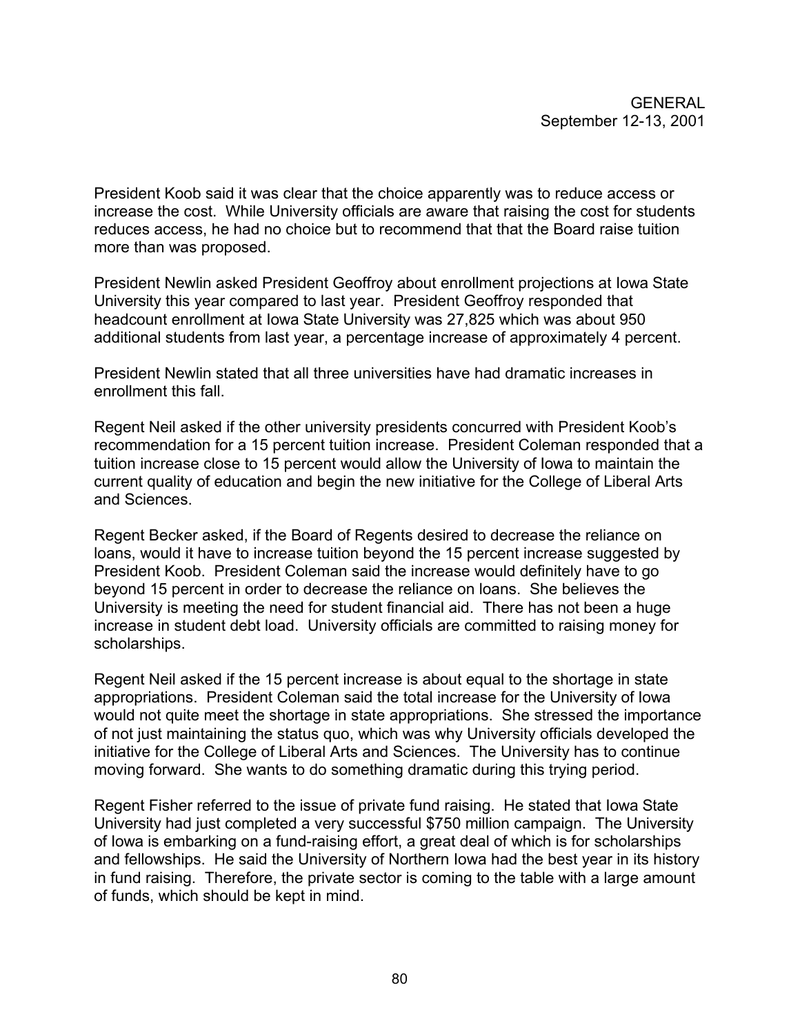President Koob said it was clear that the choice apparently was to reduce access or increase the cost. While University officials are aware that raising the cost for students reduces access, he had no choice but to recommend that that the Board raise tuition more than was proposed.

President Newlin asked President Geoffroy about enrollment projections at Iowa State University this year compared to last year. President Geoffroy responded that headcount enrollment at Iowa State University was 27,825 which was about 950 additional students from last year, a percentage increase of approximately 4 percent.

President Newlin stated that all three universities have had dramatic increases in enrollment this fall.

Regent Neil asked if the other university presidents concurred with President Koob's recommendation for a 15 percent tuition increase. President Coleman responded that a tuition increase close to 15 percent would allow the University of Iowa to maintain the current quality of education and begin the new initiative for the College of Liberal Arts and Sciences.

Regent Becker asked, if the Board of Regents desired to decrease the reliance on loans, would it have to increase tuition beyond the 15 percent increase suggested by President Koob. President Coleman said the increase would definitely have to go beyond 15 percent in order to decrease the reliance on loans. She believes the University is meeting the need for student financial aid. There has not been a huge increase in student debt load. University officials are committed to raising money for scholarships.

Regent Neil asked if the 15 percent increase is about equal to the shortage in state appropriations. President Coleman said the total increase for the University of Iowa would not quite meet the shortage in state appropriations. She stressed the importance of not just maintaining the status quo, which was why University officials developed the initiative for the College of Liberal Arts and Sciences. The University has to continue moving forward. She wants to do something dramatic during this trying period.

Regent Fisher referred to the issue of private fund raising. He stated that Iowa State University had just completed a very successful \$750 million campaign. The University of Iowa is embarking on a fund-raising effort, a great deal of which is for scholarships and fellowships. He said the University of Northern Iowa had the best year in its history in fund raising. Therefore, the private sector is coming to the table with a large amount of funds, which should be kept in mind.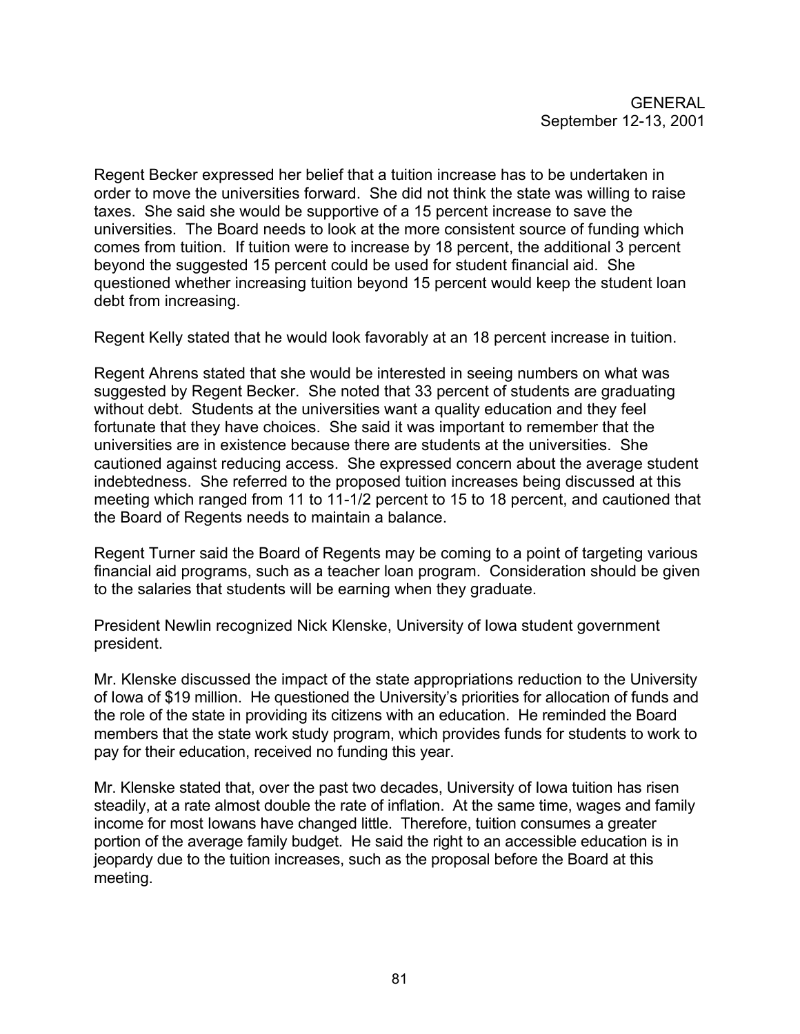Regent Becker expressed her belief that a tuition increase has to be undertaken in order to move the universities forward. She did not think the state was willing to raise taxes. She said she would be supportive of a 15 percent increase to save the universities. The Board needs to look at the more consistent source of funding which comes from tuition. If tuition were to increase by 18 percent, the additional 3 percent beyond the suggested 15 percent could be used for student financial aid. She questioned whether increasing tuition beyond 15 percent would keep the student loan debt from increasing.

Regent Kelly stated that he would look favorably at an 18 percent increase in tuition.

Regent Ahrens stated that she would be interested in seeing numbers on what was suggested by Regent Becker. She noted that 33 percent of students are graduating without debt. Students at the universities want a quality education and they feel fortunate that they have choices. She said it was important to remember that the universities are in existence because there are students at the universities. She cautioned against reducing access. She expressed concern about the average student indebtedness. She referred to the proposed tuition increases being discussed at this meeting which ranged from 11 to 11-1/2 percent to 15 to 18 percent, and cautioned that the Board of Regents needs to maintain a balance.

Regent Turner said the Board of Regents may be coming to a point of targeting various financial aid programs, such as a teacher loan program. Consideration should be given to the salaries that students will be earning when they graduate.

President Newlin recognized Nick Klenske, University of Iowa student government president.

Mr. Klenske discussed the impact of the state appropriations reduction to the University of Iowa of \$19 million. He questioned the University's priorities for allocation of funds and the role of the state in providing its citizens with an education. He reminded the Board members that the state work study program, which provides funds for students to work to pay for their education, received no funding this year.

Mr. Klenske stated that, over the past two decades, University of Iowa tuition has risen steadily, at a rate almost double the rate of inflation. At the same time, wages and family income for most Iowans have changed little. Therefore, tuition consumes a greater portion of the average family budget. He said the right to an accessible education is in jeopardy due to the tuition increases, such as the proposal before the Board at this meeting.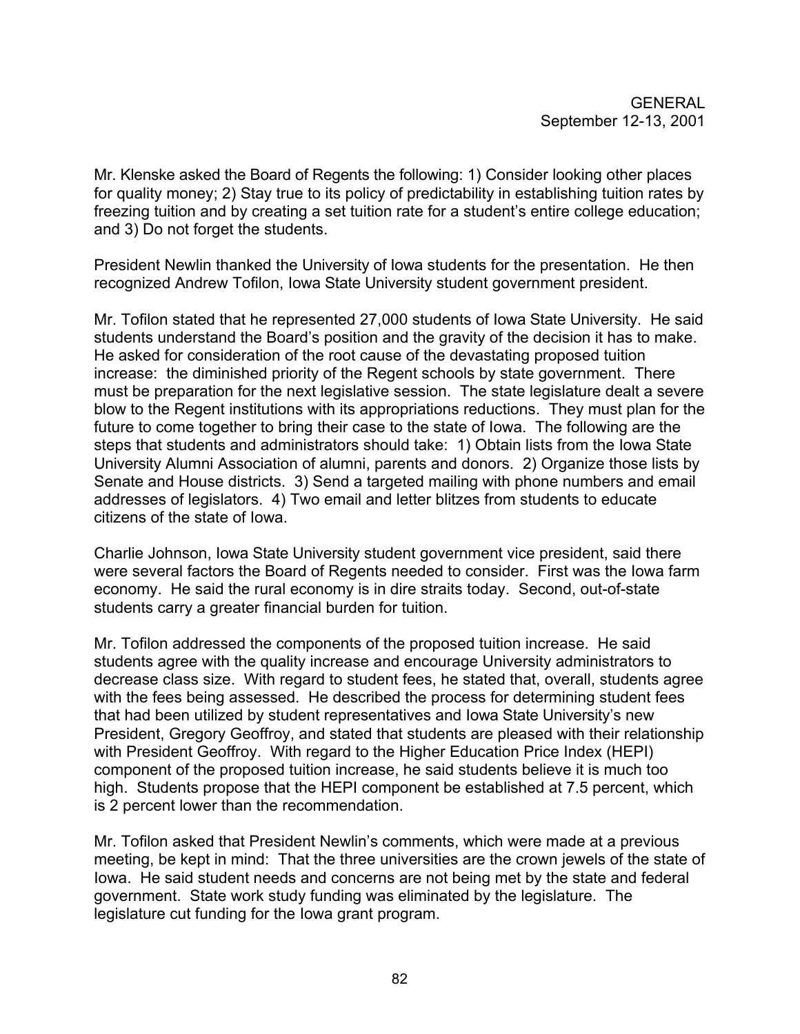Mr. Klenske asked the Board of Regents the following: 1) Consider looking other places for quality money; 2) Stay true to its policy of predictability in establishing tuition rates by freezing tuition and by creating a set tuition rate for a student's entire college education; and 3) Do not forget the students.

President Newlin thanked the University of Iowa students for the presentation. He then recognized Andrew Tofilon, Iowa State University student government president.

Mr. Tofilon stated that he represented 27,000 students of Iowa State University. He said students understand the Board's position and the gravity of the decision it has to make. He asked for consideration of the root cause of the devastating proposed tuition increase: the diminished priority of the Regent schools by state government. There must be preparation for the next legislative session. The state legislature dealt a severe blow to the Regent institutions with its appropriations reductions. They must plan for the future to come together to bring their case to the state of Iowa. The following are the steps that students and administrators should take: 1) Obtain lists from the Iowa State University Alumni Association of alumni, parents and donors. 2) Organize those lists by Senate and House districts. 3) Send a targeted mailing with phone numbers and email addresses of legislators. 4) Two email and letter blitzes from students to educate citizens of the state of Iowa.

Charlie Johnson, Iowa State University student government vice president, said there were several factors the Board of Regents needed to consider. First was the Iowa farm economy. He said the rural economy is in dire straits today. Second, out-of-state students carry a greater financial burden for tuition.

Mr. Tofilon addressed the components of the proposed tuition increase. He said students agree with the quality increase and encourage University administrators to decrease class size. With regard to student fees, he stated that, overall, students agree with the fees being assessed. He described the process for determining student fees that had been utilized by student representatives and Iowa State University's new President, Gregory Geoffroy, and stated that students are pleased with their relationship with President Geoffroy. With regard to the Higher Education Price Index (HEPI) component of the proposed tuition increase, he said students believe it is much too high. Students propose that the HEPI component be established at 7.5 percent, which is 2 percent lower than the recommendation.

Mr. Tofilon asked that President Newlin's comments, which were made at a previous meeting, be kept in mind: That the three universities are the crown jewels of the state of Iowa. He said student needs and concerns are not being met by the state and federal government. State work study funding was eliminated by the legislature. The legislature cut funding for the Iowa grant program.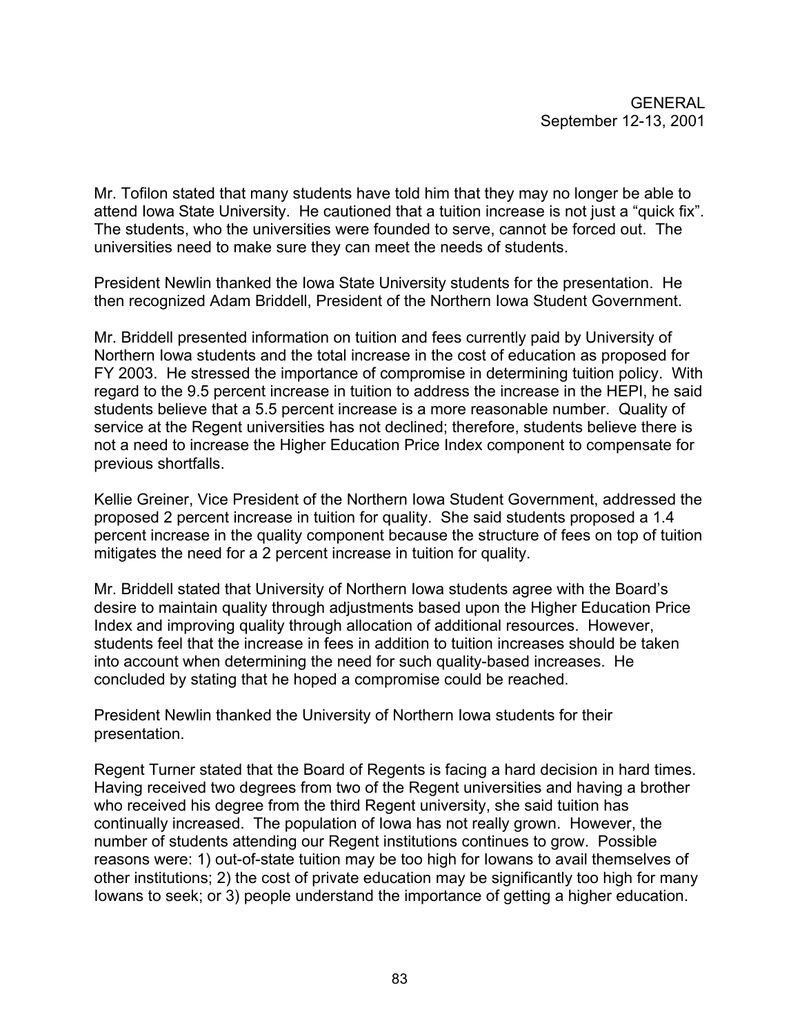Mr. Tofilon stated that many students have told him that they may no longer be able to attend Iowa State University. He cautioned that a tuition increase is not just a "quick fix". The students, who the universities were founded to serve, cannot be forced out. The universities need to make sure they can meet the needs of students.

President Newlin thanked the Iowa State University students for the presentation. He then recognized Adam Briddell, President of the Northern Iowa Student Government.

Mr. Briddell presented information on tuition and fees currently paid by University of Northern Iowa students and the total increase in the cost of education as proposed for FY 2003. He stressed the importance of compromise in determining tuition policy. With regard to the 9.5 percent increase in tuition to address the increase in the HEPI, he said students believe that a 5.5 percent increase is a more reasonable number. Quality of service at the Regent universities has not declined; therefore, students believe there is not a need to increase the Higher Education Price Index component to compensate for previous shortfalls.

Kellie Greiner, Vice President of the Northern Iowa Student Government, addressed the proposed 2 percent increase in tuition for quality. She said students proposed a 1.4 percent increase in the quality component because the structure of fees on top of tuition mitigates the need for a 2 percent increase in tuition for quality.

Mr. Briddell stated that University of Northern Iowa students agree with the Board's desire to maintain quality through adjustments based upon the Higher Education Price Index and improving quality through allocation of additional resources. However, students feel that the increase in fees in addition to tuition increases should be taken into account when determining the need for such quality-based increases. He concluded by stating that he hoped a compromise could be reached.

President Newlin thanked the University of Northern Iowa students for their presentation.

Regent Turner stated that the Board of Regents is facing a hard decision in hard times. Having received two degrees from two of the Regent universities and having a brother who received his degree from the third Regent university, she said tuition has continually increased. The population of Iowa has not really grown. However, the number of students attending our Regent institutions continues to grow. Possible reasons were: 1) out-of-state tuition may be too high for Iowans to avail themselves of other institutions; 2) the cost of private education may be significantly too high for many Iowans to seek; or 3) people understand the importance of getting a higher education.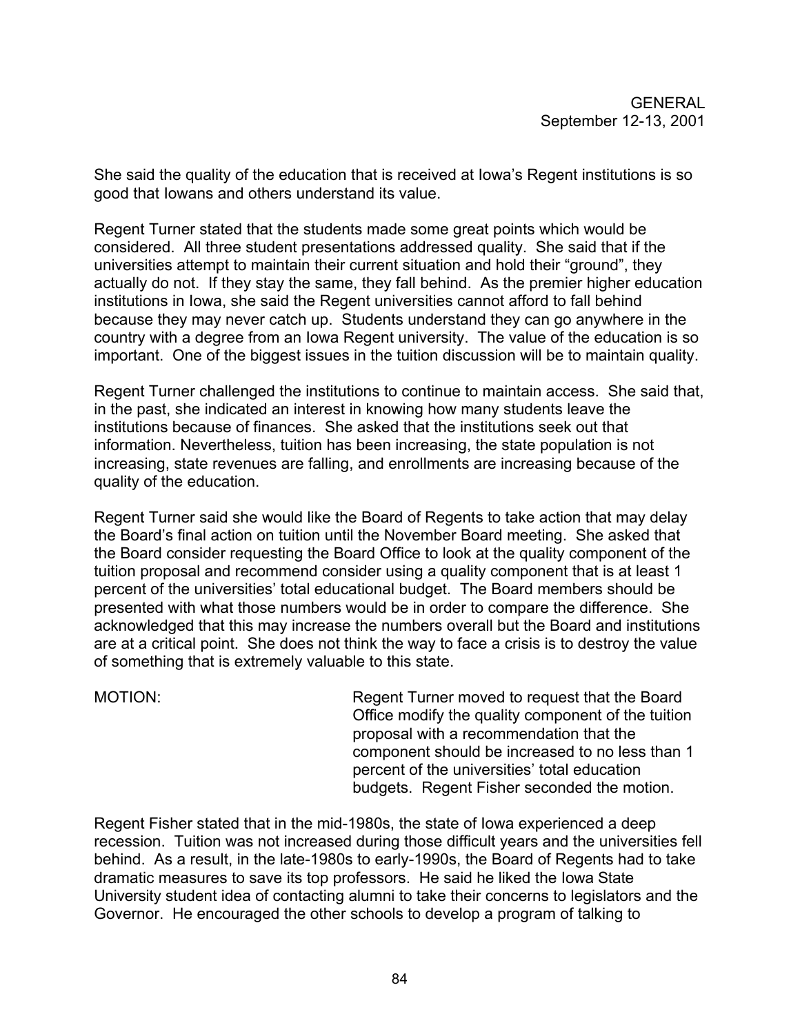She said the quality of the education that is received at Iowa's Regent institutions is so good that Iowans and others understand its value.

Regent Turner stated that the students made some great points which would be considered. All three student presentations addressed quality. She said that if the universities attempt to maintain their current situation and hold their "ground", they actually do not. If they stay the same, they fall behind. As the premier higher education institutions in Iowa, she said the Regent universities cannot afford to fall behind because they may never catch up. Students understand they can go anywhere in the country with a degree from an Iowa Regent university. The value of the education is so important. One of the biggest issues in the tuition discussion will be to maintain quality.

Regent Turner challenged the institutions to continue to maintain access. She said that, in the past, she indicated an interest in knowing how many students leave the institutions because of finances. She asked that the institutions seek out that information. Nevertheless, tuition has been increasing, the state population is not increasing, state revenues are falling, and enrollments are increasing because of the quality of the education.

Regent Turner said she would like the Board of Regents to take action that may delay the Board's final action on tuition until the November Board meeting. She asked that the Board consider requesting the Board Office to look at the quality component of the tuition proposal and recommend consider using a quality component that is at least 1 percent of the universities' total educational budget. The Board members should be presented with what those numbers would be in order to compare the difference. She acknowledged that this may increase the numbers overall but the Board and institutions are at a critical point. She does not think the way to face a crisis is to destroy the value of something that is extremely valuable to this state.

MOTION: Regent Turner moved to request that the Board Office modify the quality component of the tuition proposal with a recommendation that the component should be increased to no less than 1 percent of the universities' total education budgets. Regent Fisher seconded the motion.

Regent Fisher stated that in the mid-1980s, the state of Iowa experienced a deep recession. Tuition was not increased during those difficult years and the universities fell behind. As a result, in the late-1980s to early-1990s, the Board of Regents had to take dramatic measures to save its top professors. He said he liked the Iowa State University student idea of contacting alumni to take their concerns to legislators and the Governor. He encouraged the other schools to develop a program of talking to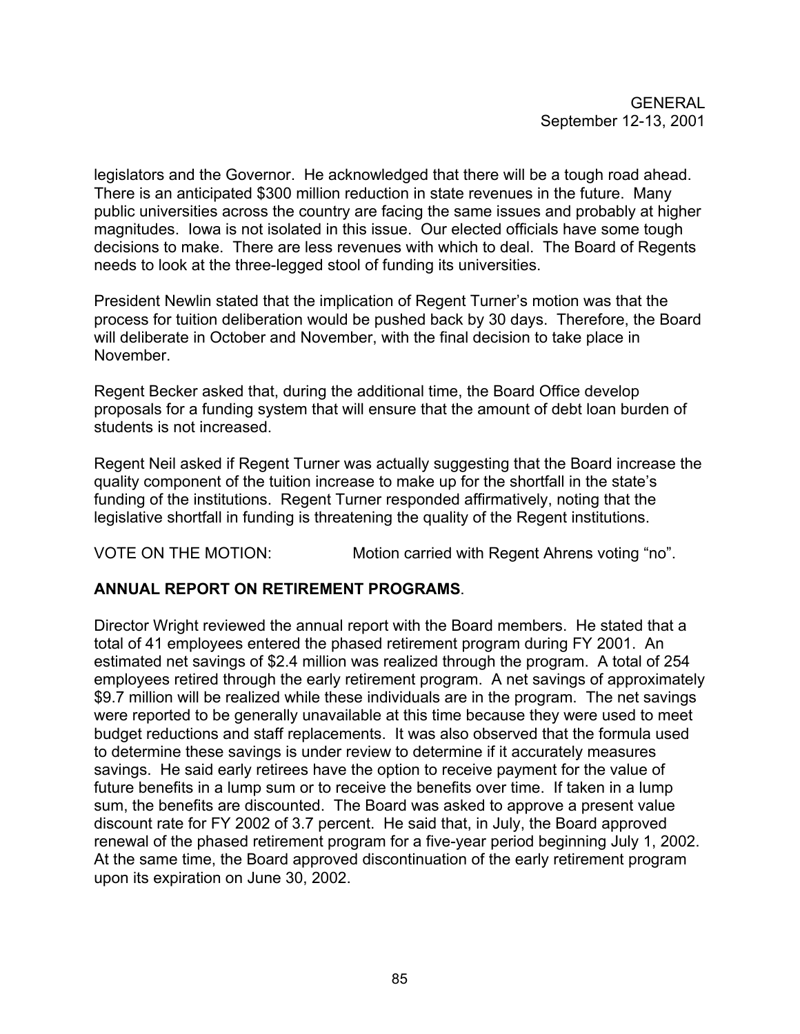legislators and the Governor. He acknowledged that there will be a tough road ahead. There is an anticipated \$300 million reduction in state revenues in the future. Many public universities across the country are facing the same issues and probably at higher magnitudes. Iowa is not isolated in this issue. Our elected officials have some tough decisions to make. There are less revenues with which to deal. The Board of Regents needs to look at the three-legged stool of funding its universities.

President Newlin stated that the implication of Regent Turner's motion was that the process for tuition deliberation would be pushed back by 30 days. Therefore, the Board will deliberate in October and November, with the final decision to take place in November.

Regent Becker asked that, during the additional time, the Board Office develop proposals for a funding system that will ensure that the amount of debt loan burden of students is not increased.

Regent Neil asked if Regent Turner was actually suggesting that the Board increase the quality component of the tuition increase to make up for the shortfall in the state's funding of the institutions. Regent Turner responded affirmatively, noting that the legislative shortfall in funding is threatening the quality of the Regent institutions.

VOTE ON THE MOTION: Motion carried with Regent Ahrens voting "no".

# **ANNUAL REPORT ON RETIREMENT PROGRAMS**.

Director Wright reviewed the annual report with the Board members. He stated that a total of 41 employees entered the phased retirement program during FY 2001. An estimated net savings of \$2.4 million was realized through the program. A total of 254 employees retired through the early retirement program. A net savings of approximately \$9.7 million will be realized while these individuals are in the program. The net savings were reported to be generally unavailable at this time because they were used to meet budget reductions and staff replacements. It was also observed that the formula used to determine these savings is under review to determine if it accurately measures savings. He said early retirees have the option to receive payment for the value of future benefits in a lump sum or to receive the benefits over time. If taken in a lump sum, the benefits are discounted. The Board was asked to approve a present value discount rate for FY 2002 of 3.7 percent. He said that, in July, the Board approved renewal of the phased retirement program for a five-year period beginning July 1, 2002. At the same time, the Board approved discontinuation of the early retirement program upon its expiration on June 30, 2002.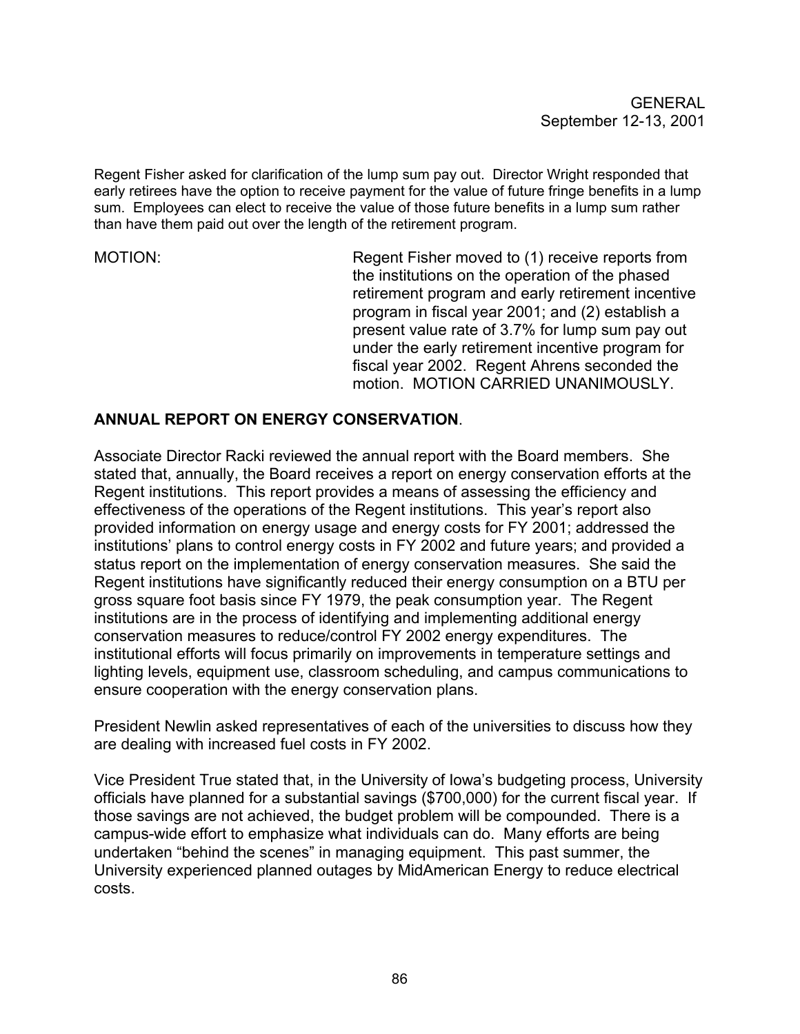Regent Fisher asked for clarification of the lump sum pay out. Director Wright responded that early retirees have the option to receive payment for the value of future fringe benefits in a lump sum. Employees can elect to receive the value of those future benefits in a lump sum rather than have them paid out over the length of the retirement program.

MOTION: Regent Fisher moved to (1) receive reports from the institutions on the operation of the phased retirement program and early retirement incentive program in fiscal year 2001; and (2) establish a present value rate of 3.7% for lump sum pay out under the early retirement incentive program for fiscal year 2002. Regent Ahrens seconded the motion. MOTION CARRIED UNANIMOUSLY.

### **ANNUAL REPORT ON ENERGY CONSERVATION**.

Associate Director Racki reviewed the annual report with the Board members. She stated that, annually, the Board receives a report on energy conservation efforts at the Regent institutions. This report provides a means of assessing the efficiency and effectiveness of the operations of the Regent institutions. This year's report also provided information on energy usage and energy costs for FY 2001; addressed the institutions' plans to control energy costs in FY 2002 and future years; and provided a status report on the implementation of energy conservation measures. She said the Regent institutions have significantly reduced their energy consumption on a BTU per gross square foot basis since FY 1979, the peak consumption year. The Regent institutions are in the process of identifying and implementing additional energy conservation measures to reduce/control FY 2002 energy expenditures. The institutional efforts will focus primarily on improvements in temperature settings and lighting levels, equipment use, classroom scheduling, and campus communications to ensure cooperation with the energy conservation plans.

President Newlin asked representatives of each of the universities to discuss how they are dealing with increased fuel costs in FY 2002.

Vice President True stated that, in the University of Iowa's budgeting process, University officials have planned for a substantial savings (\$700,000) for the current fiscal year. If those savings are not achieved, the budget problem will be compounded. There is a campus-wide effort to emphasize what individuals can do. Many efforts are being undertaken "behind the scenes" in managing equipment. This past summer, the University experienced planned outages by MidAmerican Energy to reduce electrical costs.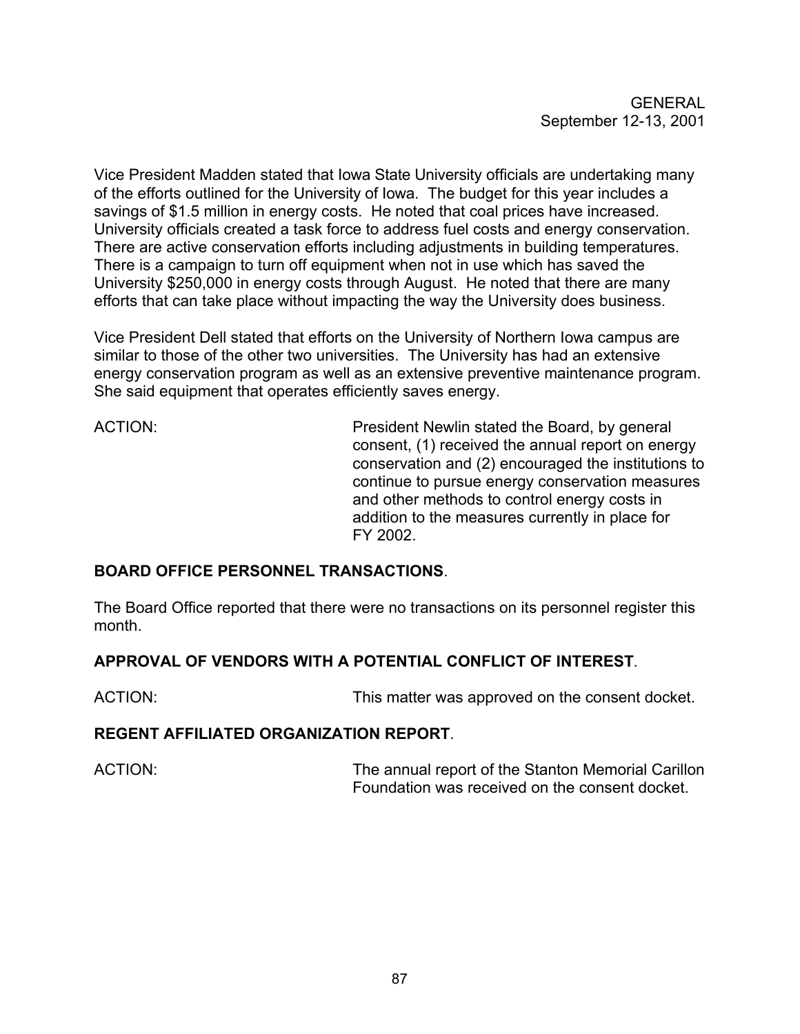Vice President Madden stated that Iowa State University officials are undertaking many of the efforts outlined for the University of Iowa. The budget for this year includes a savings of \$1.5 million in energy costs. He noted that coal prices have increased. University officials created a task force to address fuel costs and energy conservation. There are active conservation efforts including adjustments in building temperatures. There is a campaign to turn off equipment when not in use which has saved the University \$250,000 in energy costs through August. He noted that there are many efforts that can take place without impacting the way the University does business.

Vice President Dell stated that efforts on the University of Northern Iowa campus are similar to those of the other two universities. The University has had an extensive energy conservation program as well as an extensive preventive maintenance program. She said equipment that operates efficiently saves energy.

ACTION: President Newlin stated the Board, by general consent, (1) received the annual report on energy conservation and (2) encouraged the institutions to continue to pursue energy conservation measures and other methods to control energy costs in addition to the measures currently in place for FY 2002.

# **BOARD OFFICE PERSONNEL TRANSACTIONS**.

The Board Office reported that there were no transactions on its personnel register this month.

# **APPROVAL OF VENDORS WITH A POTENTIAL CONFLICT OF INTEREST**.

ACTION: This matter was approved on the consent docket.

#### **REGENT AFFILIATED ORGANIZATION REPORT**.

ACTION: The annual report of the Stanton Memorial Carillon Foundation was received on the consent docket.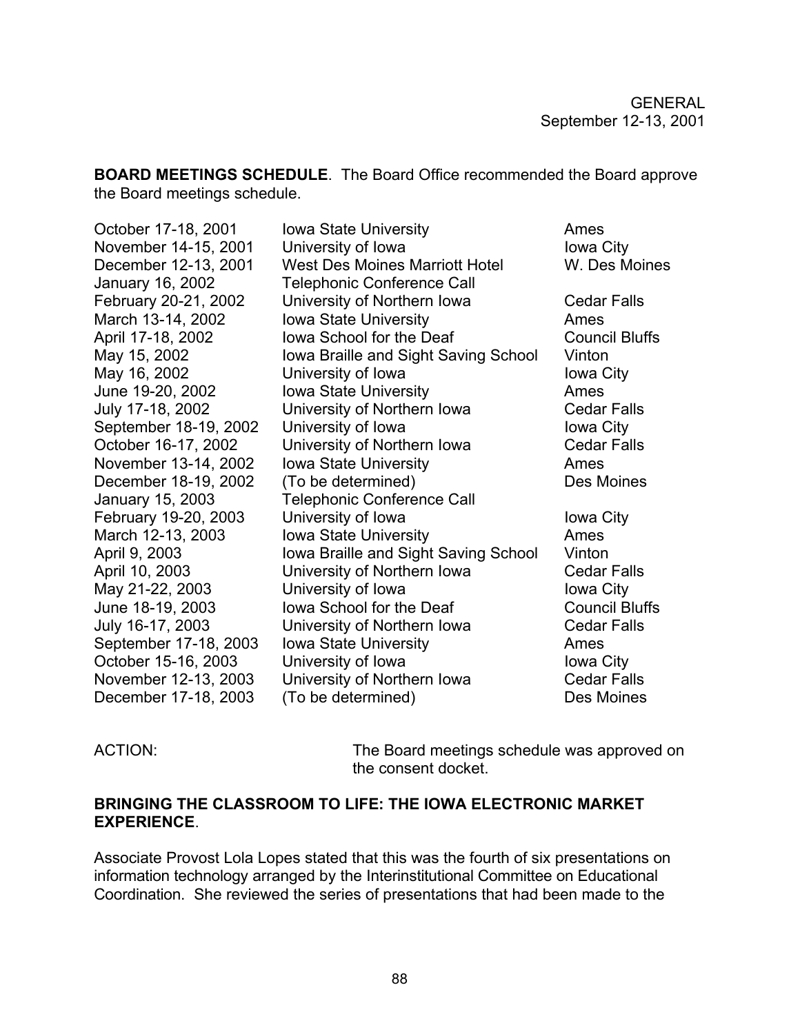**BOARD MEETINGS SCHEDULE**. The Board Office recommended the Board approve the Board meetings schedule.

| October 17-18, 2001   | <b>Iowa State University</b>          | Ames                  |
|-----------------------|---------------------------------------|-----------------------|
| November 14-15, 2001  | University of Iowa                    | Iowa City             |
| December 12-13, 2001  | <b>West Des Moines Marriott Hotel</b> | W. Des Moines         |
| January 16, 2002      | <b>Telephonic Conference Call</b>     |                       |
| February 20-21, 2002  | University of Northern Iowa           | <b>Cedar Falls</b>    |
| March 13-14, 2002     | <b>Iowa State University</b>          | Ames                  |
| April 17-18, 2002     | lowa School for the Deaf              | <b>Council Bluffs</b> |
| May 15, 2002          | Iowa Braille and Sight Saving School  | Vinton                |
| May 16, 2002          | University of Iowa                    | Iowa City             |
| June 19-20, 2002      | <b>Iowa State University</b>          | Ames                  |
| July 17-18, 2002      | University of Northern Iowa           | <b>Cedar Falls</b>    |
| September 18-19, 2002 | University of Iowa                    | Iowa City             |
| October 16-17, 2002   | University of Northern Iowa           | <b>Cedar Falls</b>    |
| November 13-14, 2002  | <b>Iowa State University</b>          | Ames                  |
| December 18-19, 2002  | (To be determined)                    | Des Moines            |
| January 15, 2003      | <b>Telephonic Conference Call</b>     |                       |
| February 19-20, 2003  | University of Iowa                    | Iowa City             |
| March 12-13, 2003     | <b>Iowa State University</b>          | Ames                  |
| April 9, 2003         | Iowa Braille and Sight Saving School  | Vinton                |
| April 10, 2003        | University of Northern Iowa           | <b>Cedar Falls</b>    |
| May 21-22, 2003       | University of Iowa                    | Iowa City             |
| June 18-19, 2003      | lowa School for the Deaf              | <b>Council Bluffs</b> |
| July 16-17, 2003      | University of Northern Iowa           | <b>Cedar Falls</b>    |
| September 17-18, 2003 | <b>Iowa State University</b>          | Ames                  |
| October 15-16, 2003   | University of Iowa                    | Iowa City             |
| November 12-13, 2003  | University of Northern Iowa           | <b>Cedar Falls</b>    |
| December 17-18, 2003  | (To be determined)                    | Des Moines            |

ACTION: The Board meetings schedule was approved on the consent docket.

#### **BRINGING THE CLASSROOM TO LIFE: THE IOWA ELECTRONIC MARKET EXPERIENCE**.

Associate Provost Lola Lopes stated that this was the fourth of six presentations on information technology arranged by the Interinstitutional Committee on Educational Coordination. She reviewed the series of presentations that had been made to the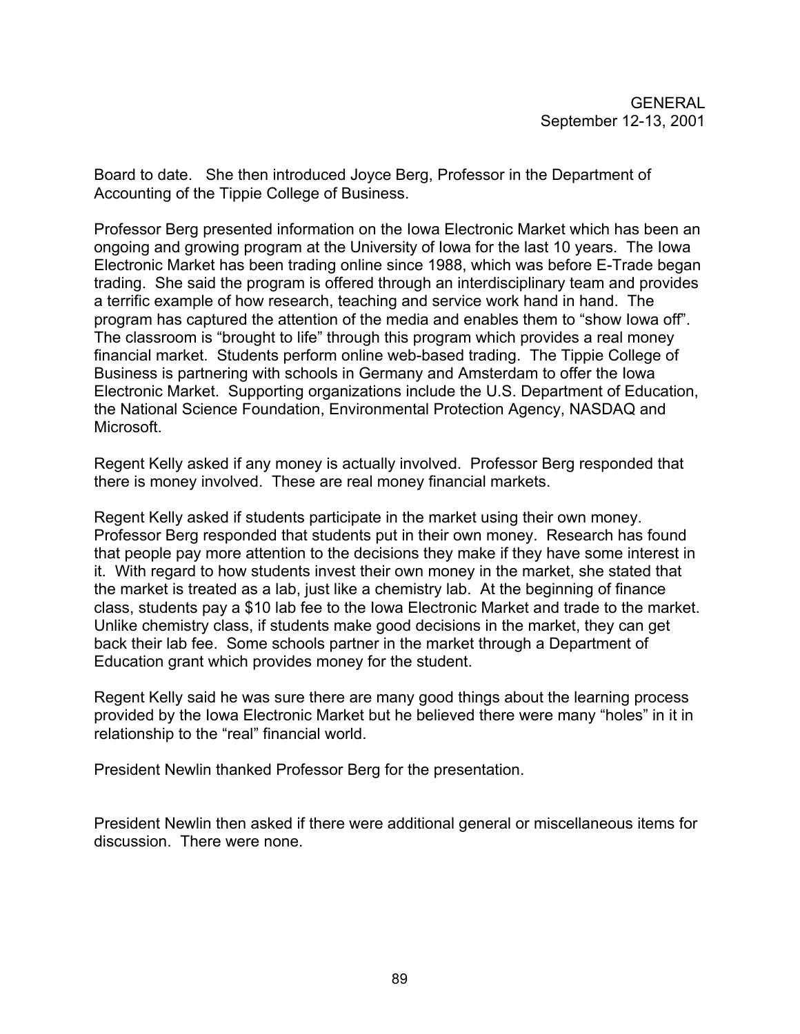Board to date. She then introduced Joyce Berg, Professor in the Department of Accounting of the Tippie College of Business.

Professor Berg presented information on the Iowa Electronic Market which has been an ongoing and growing program at the University of Iowa for the last 10 years. The Iowa Electronic Market has been trading online since 1988, which was before E-Trade began trading. She said the program is offered through an interdisciplinary team and provides a terrific example of how research, teaching and service work hand in hand. The program has captured the attention of the media and enables them to "show Iowa off". The classroom is "brought to life" through this program which provides a real money financial market. Students perform online web-based trading. The Tippie College of Business is partnering with schools in Germany and Amsterdam to offer the Iowa Electronic Market. Supporting organizations include the U.S. Department of Education, the National Science Foundation, Environmental Protection Agency, NASDAQ and Microsoft.

Regent Kelly asked if any money is actually involved. Professor Berg responded that there is money involved. These are real money financial markets.

Regent Kelly asked if students participate in the market using their own money. Professor Berg responded that students put in their own money. Research has found that people pay more attention to the decisions they make if they have some interest in it. With regard to how students invest their own money in the market, she stated that the market is treated as a lab, just like a chemistry lab. At the beginning of finance class, students pay a \$10 lab fee to the Iowa Electronic Market and trade to the market. Unlike chemistry class, if students make good decisions in the market, they can get back their lab fee. Some schools partner in the market through a Department of Education grant which provides money for the student.

Regent Kelly said he was sure there are many good things about the learning process provided by the Iowa Electronic Market but he believed there were many "holes" in it in relationship to the "real" financial world.

President Newlin thanked Professor Berg for the presentation.

President Newlin then asked if there were additional general or miscellaneous items for discussion. There were none.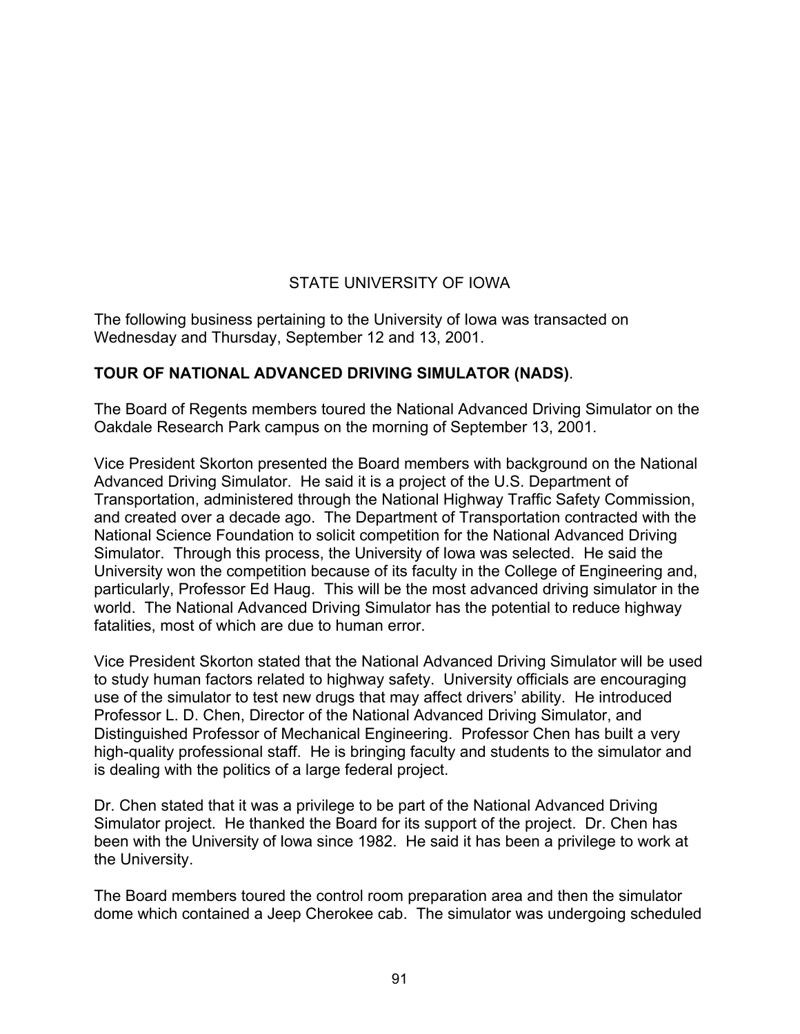# STATE UNIVERSITY OF IOWA

The following business pertaining to the University of Iowa was transacted on Wednesday and Thursday, September 12 and 13, 2001.

### **TOUR OF NATIONAL ADVANCED DRIVING SIMULATOR (NADS)**.

The Board of Regents members toured the National Advanced Driving Simulator on the Oakdale Research Park campus on the morning of September 13, 2001.

Vice President Skorton presented the Board members with background on the National Advanced Driving Simulator. He said it is a project of the U.S. Department of Transportation, administered through the National Highway Traffic Safety Commission, and created over a decade ago. The Department of Transportation contracted with the National Science Foundation to solicit competition for the National Advanced Driving Simulator. Through this process, the University of Iowa was selected. He said the University won the competition because of its faculty in the College of Engineering and, particularly, Professor Ed Haug. This will be the most advanced driving simulator in the world. The National Advanced Driving Simulator has the potential to reduce highway fatalities, most of which are due to human error.

Vice President Skorton stated that the National Advanced Driving Simulator will be used to study human factors related to highway safety. University officials are encouraging use of the simulator to test new drugs that may affect drivers' ability. He introduced Professor L. D. Chen, Director of the National Advanced Driving Simulator, and Distinguished Professor of Mechanical Engineering. Professor Chen has built a very high-quality professional staff. He is bringing faculty and students to the simulator and is dealing with the politics of a large federal project.

Dr. Chen stated that it was a privilege to be part of the National Advanced Driving Simulator project. He thanked the Board for its support of the project. Dr. Chen has been with the University of Iowa since 1982. He said it has been a privilege to work at the University.

The Board members toured the control room preparation area and then the simulator dome which contained a Jeep Cherokee cab. The simulator was undergoing scheduled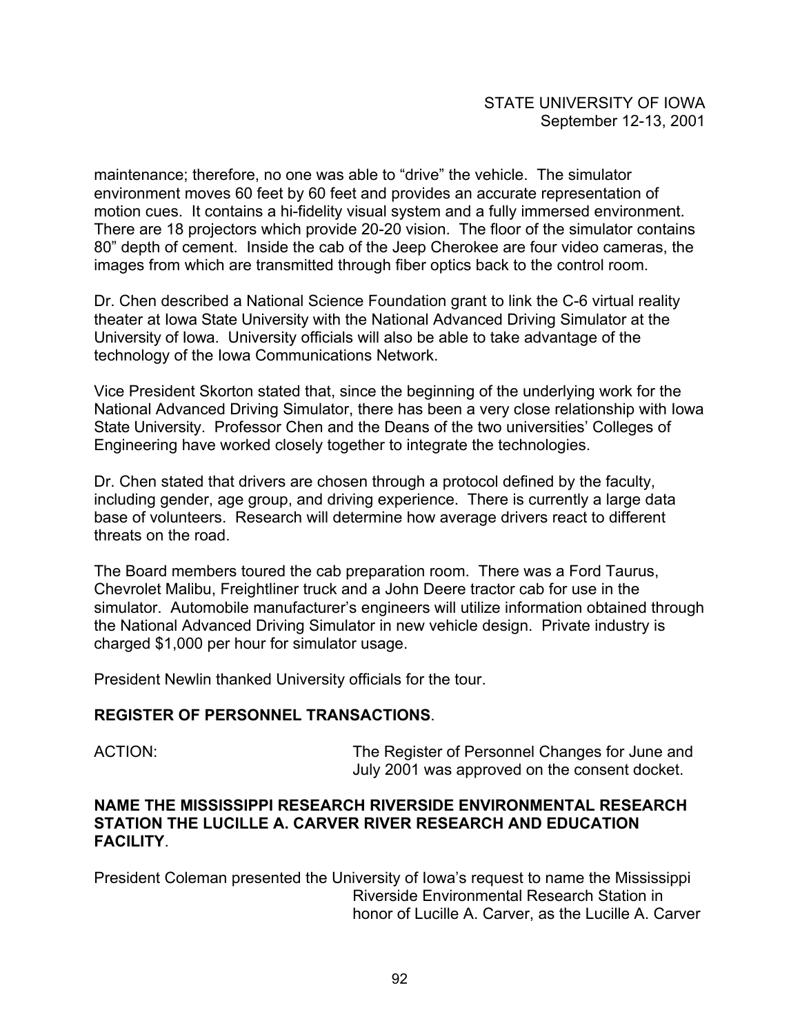maintenance; therefore, no one was able to "drive" the vehicle. The simulator environment moves 60 feet by 60 feet and provides an accurate representation of motion cues. It contains a hi-fidelity visual system and a fully immersed environment. There are 18 projectors which provide 20-20 vision. The floor of the simulator contains 80" depth of cement. Inside the cab of the Jeep Cherokee are four video cameras, the images from which are transmitted through fiber optics back to the control room.

Dr. Chen described a National Science Foundation grant to link the C-6 virtual reality theater at Iowa State University with the National Advanced Driving Simulator at the University of Iowa. University officials will also be able to take advantage of the technology of the Iowa Communications Network.

Vice President Skorton stated that, since the beginning of the underlying work for the National Advanced Driving Simulator, there has been a very close relationship with Iowa State University. Professor Chen and the Deans of the two universities' Colleges of Engineering have worked closely together to integrate the technologies.

Dr. Chen stated that drivers are chosen through a protocol defined by the faculty, including gender, age group, and driving experience. There is currently a large data base of volunteers. Research will determine how average drivers react to different threats on the road.

The Board members toured the cab preparation room. There was a Ford Taurus, Chevrolet Malibu, Freightliner truck and a John Deere tractor cab for use in the simulator. Automobile manufacturer's engineers will utilize information obtained through the National Advanced Driving Simulator in new vehicle design. Private industry is charged \$1,000 per hour for simulator usage.

President Newlin thanked University officials for the tour.

#### **REGISTER OF PERSONNEL TRANSACTIONS**.

ACTION: The Register of Personnel Changes for June and July 2001 was approved on the consent docket.

#### **NAME THE MISSISSIPPI RESEARCH RIVERSIDE ENVIRONMENTAL RESEARCH STATION THE LUCILLE A. CARVER RIVER RESEARCH AND EDUCATION FACILITY**.

President Coleman presented the University of Iowa's request to name the Mississippi Riverside Environmental Research Station in honor of Lucille A. Carver, as the Lucille A. Carver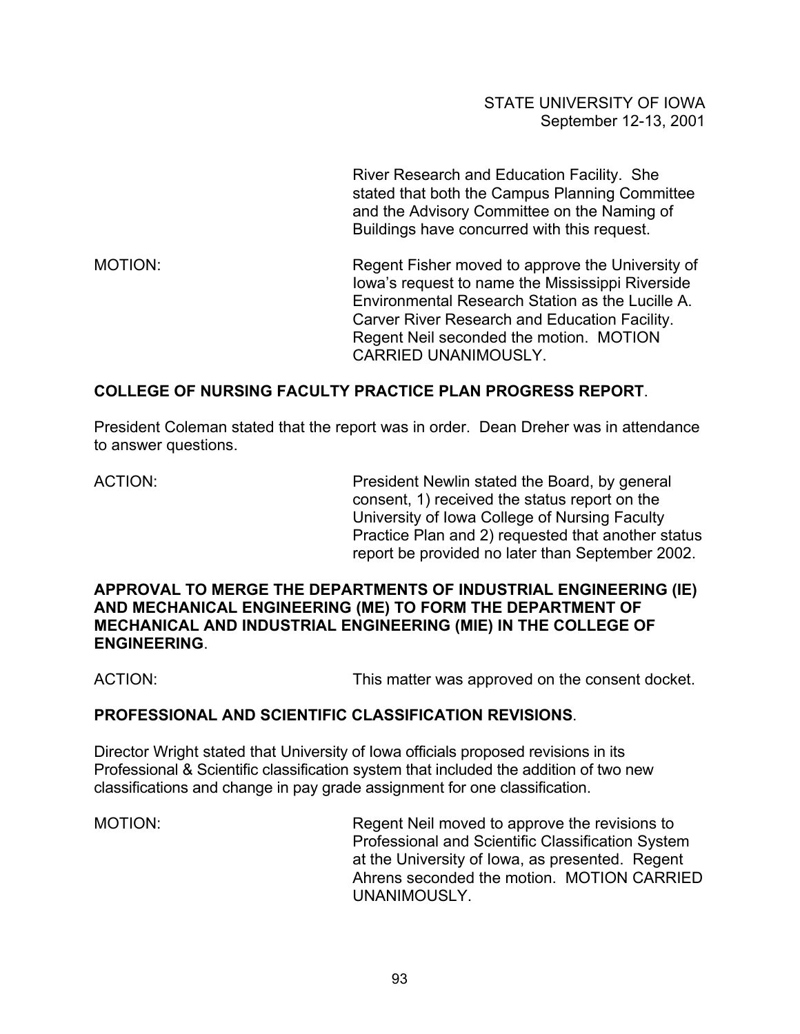River Research and Education Facility. She stated that both the Campus Planning Committee and the Advisory Committee on the Naming of Buildings have concurred with this request.

MOTION: Regent Fisher moved to approve the University of Iowa's request to name the Mississippi Riverside Environmental Research Station as the Lucille A. Carver River Research and Education Facility. Regent Neil seconded the motion. MOTION CARRIED UNANIMOUSLY.

### **COLLEGE OF NURSING FACULTY PRACTICE PLAN PROGRESS REPORT**.

President Coleman stated that the report was in order. Dean Dreher was in attendance to answer questions.

ACTION: President Newlin stated the Board, by general consent, 1) received the status report on the University of Iowa College of Nursing Faculty Practice Plan and 2) requested that another status report be provided no later than September 2002.

#### **APPROVAL TO MERGE THE DEPARTMENTS OF INDUSTRIAL ENGINEERING (IE) AND MECHANICAL ENGINEERING (ME) TO FORM THE DEPARTMENT OF MECHANICAL AND INDUSTRIAL ENGINEERING (MIE) IN THE COLLEGE OF ENGINEERING**.

ACTION: This matter was approved on the consent docket.

#### **PROFESSIONAL AND SCIENTIFIC CLASSIFICATION REVISIONS**.

Director Wright stated that University of Iowa officials proposed revisions in its Professional & Scientific classification system that included the addition of two new classifications and change in pay grade assignment for one classification.

MOTION: Regent Neil moved to approve the revisions to Professional and Scientific Classification System at the University of Iowa, as presented. Regent Ahrens seconded the motion. MOTION CARRIED UNANIMOUSLY.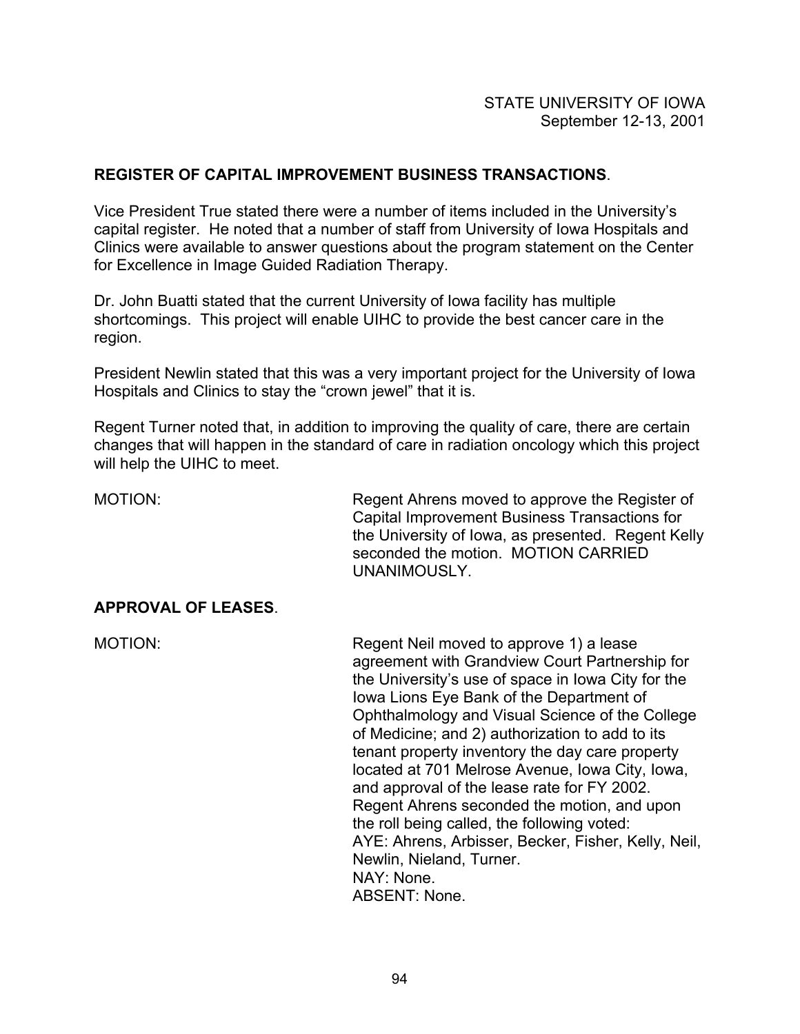### **REGISTER OF CAPITAL IMPROVEMENT BUSINESS TRANSACTIONS**.

Vice President True stated there were a number of items included in the University's capital register. He noted that a number of staff from University of Iowa Hospitals and Clinics were available to answer questions about the program statement on the Center for Excellence in Image Guided Radiation Therapy.

Dr. John Buatti stated that the current University of Iowa facility has multiple shortcomings. This project will enable UIHC to provide the best cancer care in the region.

President Newlin stated that this was a very important project for the University of Iowa Hospitals and Clinics to stay the "crown jewel" that it is.

Regent Turner noted that, in addition to improving the quality of care, there are certain changes that will happen in the standard of care in radiation oncology which this project will help the UIHC to meet.

MOTION: Regent Ahrens moved to approve the Register of Capital Improvement Business Transactions for the University of Iowa, as presented. Regent Kelly seconded the motion. MOTION CARRIED UNANIMOUSLY.

#### **APPROVAL OF LEASES**.

MOTION: Regent Neil moved to approve 1) a lease agreement with Grandview Court Partnership for the University's use of space in Iowa City for the Iowa Lions Eye Bank of the Department of Ophthalmology and Visual Science of the College of Medicine; and 2) authorization to add to its tenant property inventory the day care property located at 701 Melrose Avenue, Iowa City, Iowa, and approval of the lease rate for FY 2002. Regent Ahrens seconded the motion, and upon the roll being called, the following voted: AYE: Ahrens, Arbisser, Becker, Fisher, Kelly, Neil, Newlin, Nieland, Turner. NAY: None. ABSENT: None.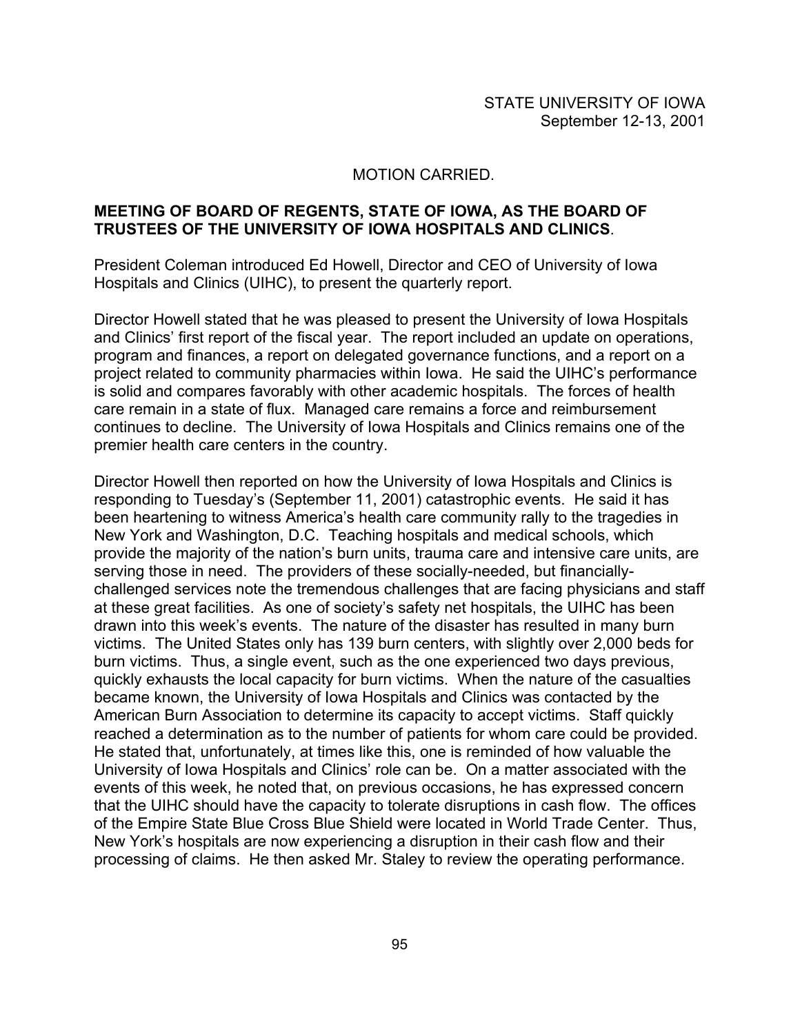#### MOTION CARRIED.

#### **MEETING OF BOARD OF REGENTS, STATE OF IOWA, AS THE BOARD OF TRUSTEES OF THE UNIVERSITY OF IOWA HOSPITALS AND CLINICS**.

President Coleman introduced Ed Howell, Director and CEO of University of Iowa Hospitals and Clinics (UIHC), to present the quarterly report.

Director Howell stated that he was pleased to present the University of Iowa Hospitals and Clinics' first report of the fiscal year. The report included an update on operations, program and finances, a report on delegated governance functions, and a report on a project related to community pharmacies within Iowa. He said the UIHC's performance is solid and compares favorably with other academic hospitals. The forces of health care remain in a state of flux. Managed care remains a force and reimbursement continues to decline. The University of Iowa Hospitals and Clinics remains one of the premier health care centers in the country.

Director Howell then reported on how the University of Iowa Hospitals and Clinics is responding to Tuesday's (September 11, 2001) catastrophic events. He said it has been heartening to witness America's health care community rally to the tragedies in New York and Washington, D.C. Teaching hospitals and medical schools, which provide the majority of the nation's burn units, trauma care and intensive care units, are serving those in need. The providers of these socially-needed, but financiallychallenged services note the tremendous challenges that are facing physicians and staff at these great facilities. As one of society's safety net hospitals, the UIHC has been drawn into this week's events. The nature of the disaster has resulted in many burn victims. The United States only has 139 burn centers, with slightly over 2,000 beds for burn victims. Thus, a single event, such as the one experienced two days previous, quickly exhausts the local capacity for burn victims. When the nature of the casualties became known, the University of Iowa Hospitals and Clinics was contacted by the American Burn Association to determine its capacity to accept victims. Staff quickly reached a determination as to the number of patients for whom care could be provided. He stated that, unfortunately, at times like this, one is reminded of how valuable the University of Iowa Hospitals and Clinics' role can be. On a matter associated with the events of this week, he noted that, on previous occasions, he has expressed concern that the UIHC should have the capacity to tolerate disruptions in cash flow. The offices of the Empire State Blue Cross Blue Shield were located in World Trade Center. Thus, New York's hospitals are now experiencing a disruption in their cash flow and their processing of claims. He then asked Mr. Staley to review the operating performance.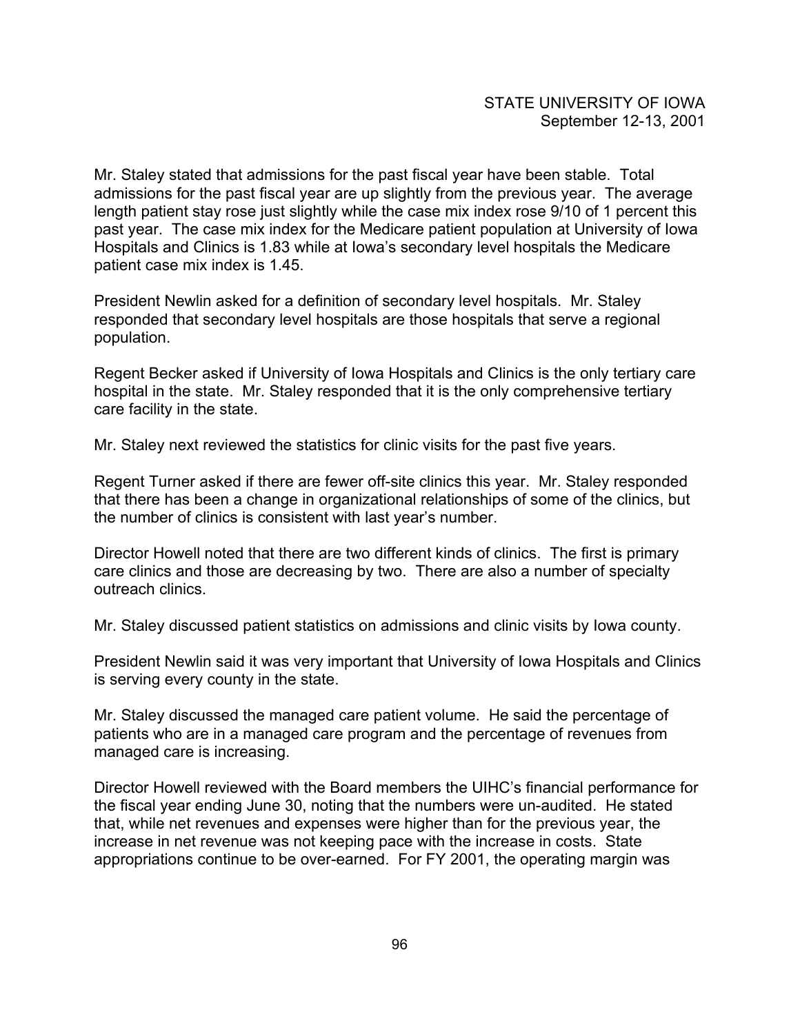Mr. Staley stated that admissions for the past fiscal year have been stable. Total admissions for the past fiscal year are up slightly from the previous year. The average length patient stay rose just slightly while the case mix index rose 9/10 of 1 percent this past year. The case mix index for the Medicare patient population at University of Iowa Hospitals and Clinics is 1.83 while at Iowa's secondary level hospitals the Medicare patient case mix index is 1.45.

President Newlin asked for a definition of secondary level hospitals. Mr. Staley responded that secondary level hospitals are those hospitals that serve a regional population.

Regent Becker asked if University of Iowa Hospitals and Clinics is the only tertiary care hospital in the state. Mr. Staley responded that it is the only comprehensive tertiary care facility in the state.

Mr. Staley next reviewed the statistics for clinic visits for the past five years.

Regent Turner asked if there are fewer off-site clinics this year. Mr. Staley responded that there has been a change in organizational relationships of some of the clinics, but the number of clinics is consistent with last year's number.

Director Howell noted that there are two different kinds of clinics. The first is primary care clinics and those are decreasing by two. There are also a number of specialty outreach clinics.

Mr. Staley discussed patient statistics on admissions and clinic visits by Iowa county.

President Newlin said it was very important that University of Iowa Hospitals and Clinics is serving every county in the state.

Mr. Staley discussed the managed care patient volume. He said the percentage of patients who are in a managed care program and the percentage of revenues from managed care is increasing.

Director Howell reviewed with the Board members the UIHC's financial performance for the fiscal year ending June 30, noting that the numbers were un-audited. He stated that, while net revenues and expenses were higher than for the previous year, the increase in net revenue was not keeping pace with the increase in costs. State appropriations continue to be over-earned. For FY 2001, the operating margin was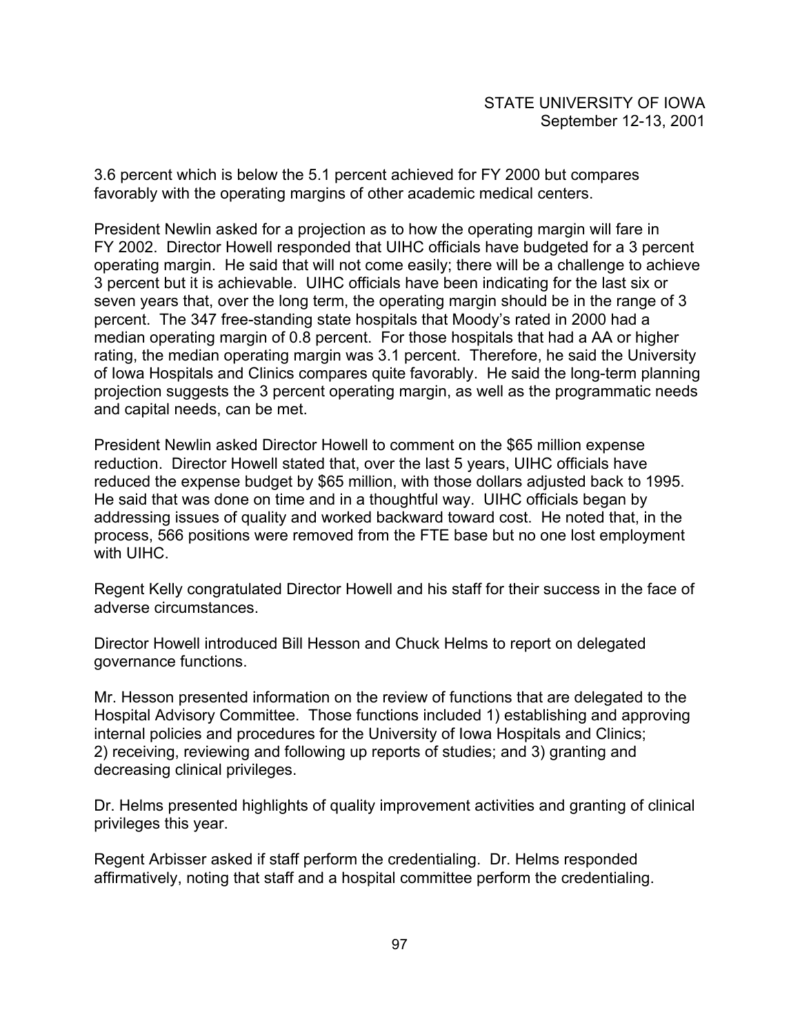3.6 percent which is below the 5.1 percent achieved for FY 2000 but compares favorably with the operating margins of other academic medical centers.

President Newlin asked for a projection as to how the operating margin will fare in FY 2002. Director Howell responded that UIHC officials have budgeted for a 3 percent operating margin. He said that will not come easily; there will be a challenge to achieve 3 percent but it is achievable. UIHC officials have been indicating for the last six or seven years that, over the long term, the operating margin should be in the range of 3 percent. The 347 free-standing state hospitals that Moody's rated in 2000 had a median operating margin of 0.8 percent. For those hospitals that had a AA or higher rating, the median operating margin was 3.1 percent. Therefore, he said the University of Iowa Hospitals and Clinics compares quite favorably. He said the long-term planning projection suggests the 3 percent operating margin, as well as the programmatic needs and capital needs, can be met.

President Newlin asked Director Howell to comment on the \$65 million expense reduction. Director Howell stated that, over the last 5 years, UIHC officials have reduced the expense budget by \$65 million, with those dollars adjusted back to 1995. He said that was done on time and in a thoughtful way. UIHC officials began by addressing issues of quality and worked backward toward cost. He noted that, in the process, 566 positions were removed from the FTE base but no one lost employment with UIHC.

Regent Kelly congratulated Director Howell and his staff for their success in the face of adverse circumstances.

Director Howell introduced Bill Hesson and Chuck Helms to report on delegated governance functions.

Mr. Hesson presented information on the review of functions that are delegated to the Hospital Advisory Committee. Those functions included 1) establishing and approving internal policies and procedures for the University of Iowa Hospitals and Clinics; 2) receiving, reviewing and following up reports of studies; and 3) granting and decreasing clinical privileges.

Dr. Helms presented highlights of quality improvement activities and granting of clinical privileges this year.

Regent Arbisser asked if staff perform the credentialing. Dr. Helms responded affirmatively, noting that staff and a hospital committee perform the credentialing.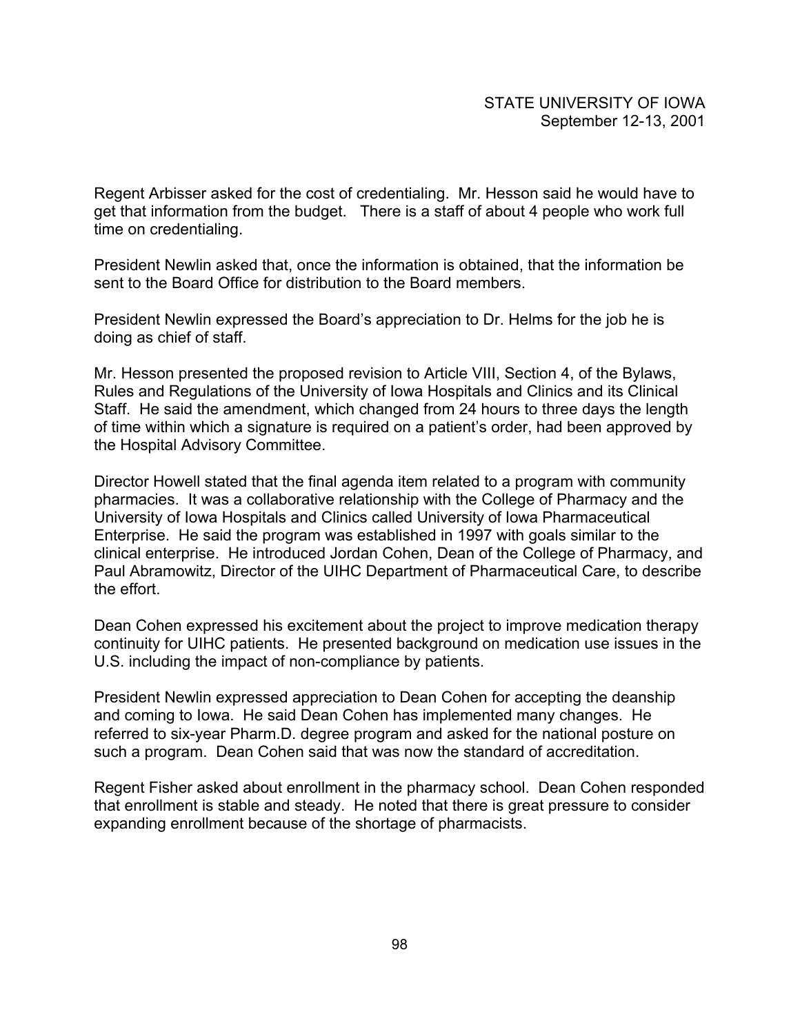Regent Arbisser asked for the cost of credentialing. Mr. Hesson said he would have to get that information from the budget. There is a staff of about 4 people who work full time on credentialing.

President Newlin asked that, once the information is obtained, that the information be sent to the Board Office for distribution to the Board members.

President Newlin expressed the Board's appreciation to Dr. Helms for the job he is doing as chief of staff.

Mr. Hesson presented the proposed revision to Article VIII, Section 4, of the Bylaws, Rules and Regulations of the University of Iowa Hospitals and Clinics and its Clinical Staff. He said the amendment, which changed from 24 hours to three days the length of time within which a signature is required on a patient's order, had been approved by the Hospital Advisory Committee.

Director Howell stated that the final agenda item related to a program with community pharmacies. It was a collaborative relationship with the College of Pharmacy and the University of Iowa Hospitals and Clinics called University of Iowa Pharmaceutical Enterprise. He said the program was established in 1997 with goals similar to the clinical enterprise. He introduced Jordan Cohen, Dean of the College of Pharmacy, and Paul Abramowitz, Director of the UIHC Department of Pharmaceutical Care, to describe the effort.

Dean Cohen expressed his excitement about the project to improve medication therapy continuity for UIHC patients. He presented background on medication use issues in the U.S. including the impact of non-compliance by patients.

President Newlin expressed appreciation to Dean Cohen for accepting the deanship and coming to Iowa. He said Dean Cohen has implemented many changes. He referred to six-year Pharm.D. degree program and asked for the national posture on such a program. Dean Cohen said that was now the standard of accreditation.

Regent Fisher asked about enrollment in the pharmacy school. Dean Cohen responded that enrollment is stable and steady. He noted that there is great pressure to consider expanding enrollment because of the shortage of pharmacists.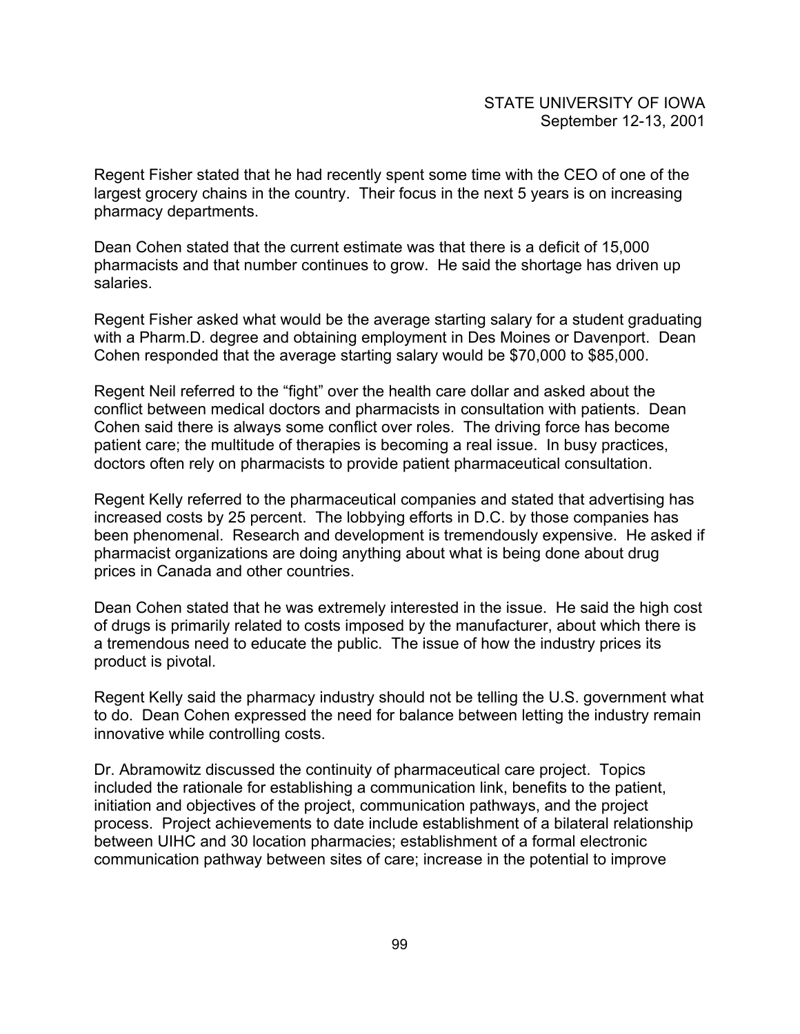Regent Fisher stated that he had recently spent some time with the CEO of one of the largest grocery chains in the country. Their focus in the next 5 years is on increasing pharmacy departments.

Dean Cohen stated that the current estimate was that there is a deficit of 15,000 pharmacists and that number continues to grow. He said the shortage has driven up salaries.

Regent Fisher asked what would be the average starting salary for a student graduating with a Pharm.D. degree and obtaining employment in Des Moines or Davenport. Dean Cohen responded that the average starting salary would be \$70,000 to \$85,000.

Regent Neil referred to the "fight" over the health care dollar and asked about the conflict between medical doctors and pharmacists in consultation with patients. Dean Cohen said there is always some conflict over roles. The driving force has become patient care; the multitude of therapies is becoming a real issue. In busy practices, doctors often rely on pharmacists to provide patient pharmaceutical consultation.

Regent Kelly referred to the pharmaceutical companies and stated that advertising has increased costs by 25 percent. The lobbying efforts in D.C. by those companies has been phenomenal. Research and development is tremendously expensive. He asked if pharmacist organizations are doing anything about what is being done about drug prices in Canada and other countries.

Dean Cohen stated that he was extremely interested in the issue. He said the high cost of drugs is primarily related to costs imposed by the manufacturer, about which there is a tremendous need to educate the public. The issue of how the industry prices its product is pivotal.

Regent Kelly said the pharmacy industry should not be telling the U.S. government what to do. Dean Cohen expressed the need for balance between letting the industry remain innovative while controlling costs.

Dr. Abramowitz discussed the continuity of pharmaceutical care project. Topics included the rationale for establishing a communication link, benefits to the patient, initiation and objectives of the project, communication pathways, and the project process. Project achievements to date include establishment of a bilateral relationship between UIHC and 30 location pharmacies; establishment of a formal electronic communication pathway between sites of care; increase in the potential to improve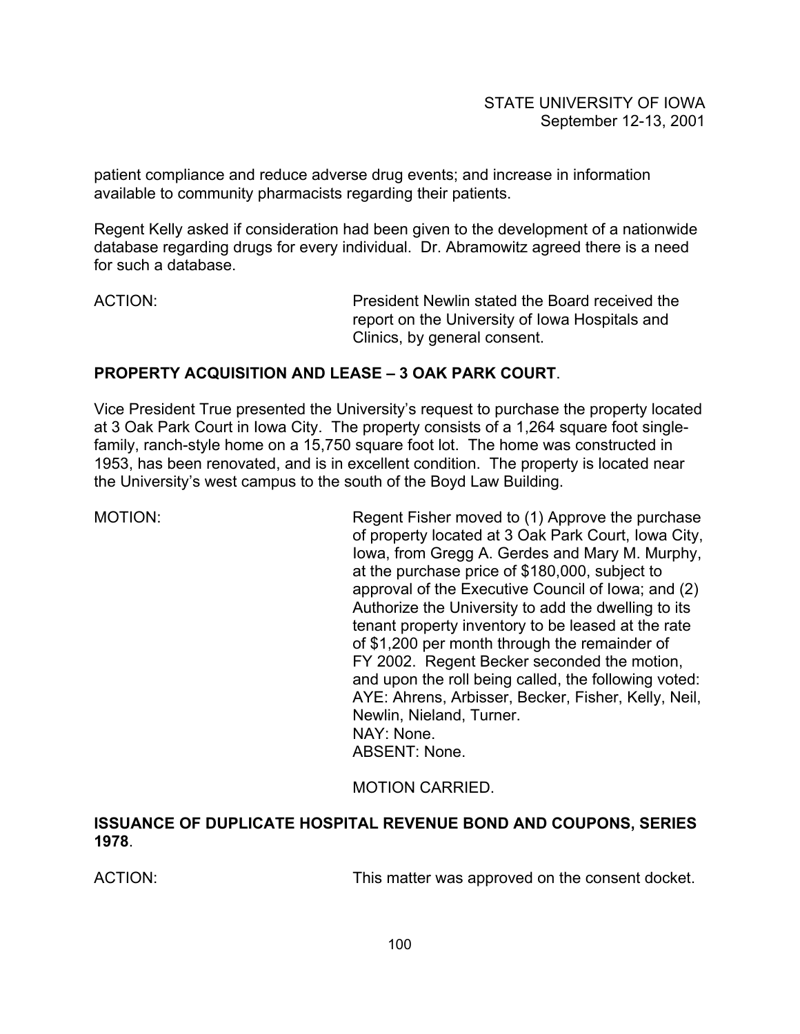patient compliance and reduce adverse drug events; and increase in information available to community pharmacists regarding their patients.

Regent Kelly asked if consideration had been given to the development of a nationwide database regarding drugs for every individual. Dr. Abramowitz agreed there is a need for such a database.

ACTION: President Newlin stated the Board received the report on the University of Iowa Hospitals and Clinics, by general consent.

### **PROPERTY ACQUISITION AND LEASE – 3 OAK PARK COURT**.

Vice President True presented the University's request to purchase the property located at 3 Oak Park Court in Iowa City. The property consists of a 1,264 square foot singlefamily, ranch-style home on a 15,750 square foot lot. The home was constructed in 1953, has been renovated, and is in excellent condition. The property is located near the University's west campus to the south of the Boyd Law Building.

MOTION: Regent Fisher moved to (1) Approve the purchase of property located at 3 Oak Park Court, Iowa City, Iowa, from Gregg A. Gerdes and Mary M. Murphy, at the purchase price of \$180,000, subject to approval of the Executive Council of Iowa; and (2) Authorize the University to add the dwelling to its tenant property inventory to be leased at the rate of \$1,200 per month through the remainder of FY 2002. Regent Becker seconded the motion, and upon the roll being called, the following voted: AYE: Ahrens, Arbisser, Becker, Fisher, Kelly, Neil, Newlin, Nieland, Turner. NAY: None. ABSENT: None.

MOTION CARRIED.

**ISSUANCE OF DUPLICATE HOSPITAL REVENUE BOND AND COUPONS, SERIES 1978**.

ACTION: This matter was approved on the consent docket.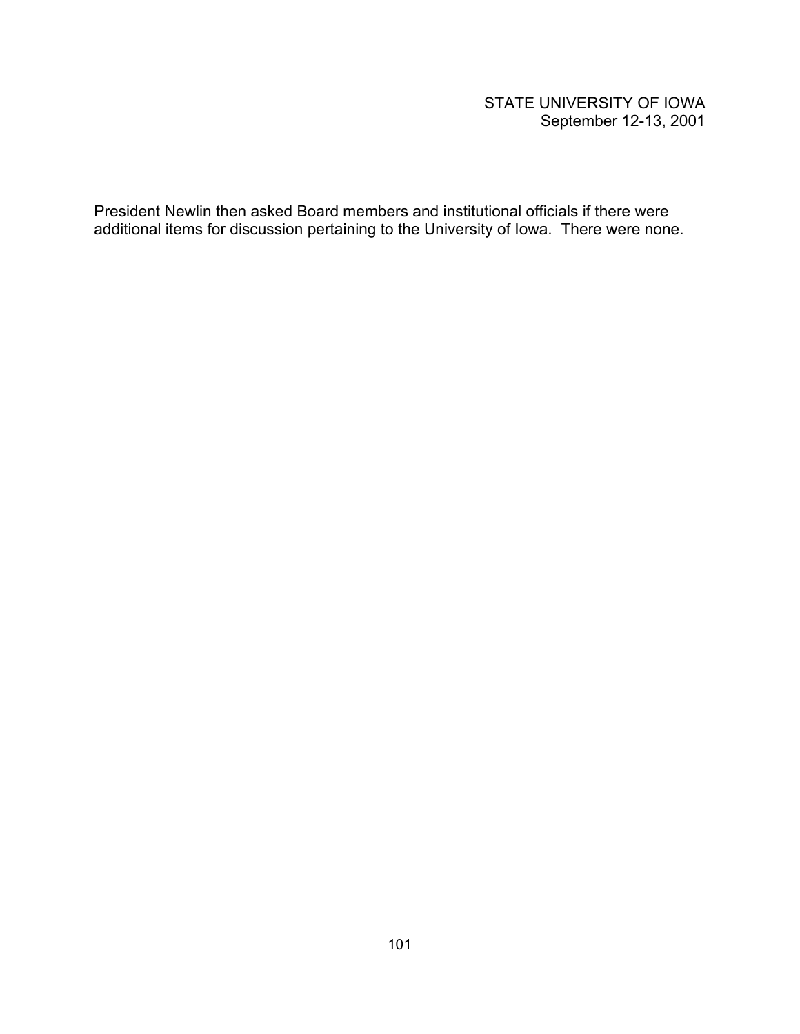# STATE UNIVERSITY OF IOWA September 12-13, 2001

President Newlin then asked Board members and institutional officials if there were additional items for discussion pertaining to the University of Iowa. There were none.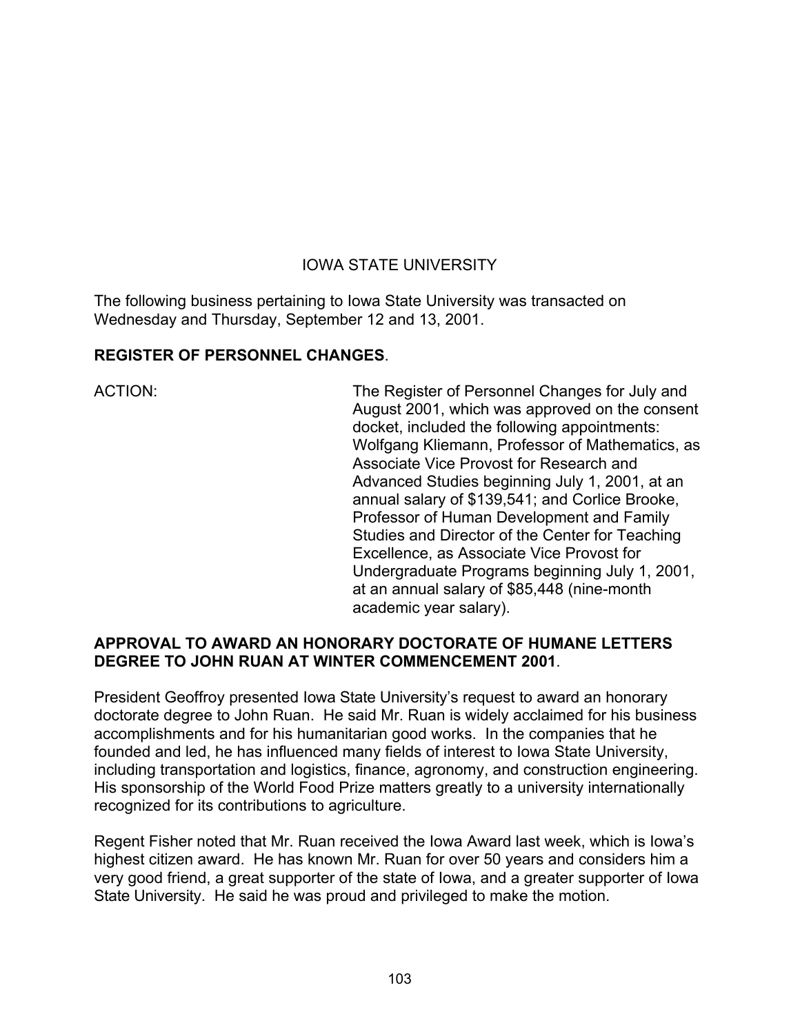# IOWA STATE UNIVERSITY

The following business pertaining to Iowa State University was transacted on Wednesday and Thursday, September 12 and 13, 2001.

### **REGISTER OF PERSONNEL CHANGES**.

ACTION: The Register of Personnel Changes for July and August 2001, which was approved on the consent docket, included the following appointments: Wolfgang Kliemann, Professor of Mathematics, as Associate Vice Provost for Research and Advanced Studies beginning July 1, 2001, at an annual salary of \$139,541; and Corlice Brooke, Professor of Human Development and Family Studies and Director of the Center for Teaching Excellence, as Associate Vice Provost for Undergraduate Programs beginning July 1, 2001, at an annual salary of \$85,448 (nine-month academic year salary).

### **APPROVAL TO AWARD AN HONORARY DOCTORATE OF HUMANE LETTERS DEGREE TO JOHN RUAN AT WINTER COMMENCEMENT 2001**.

President Geoffroy presented Iowa State University's request to award an honorary doctorate degree to John Ruan. He said Mr. Ruan is widely acclaimed for his business accomplishments and for his humanitarian good works. In the companies that he founded and led, he has influenced many fields of interest to Iowa State University, including transportation and logistics, finance, agronomy, and construction engineering. His sponsorship of the World Food Prize matters greatly to a university internationally recognized for its contributions to agriculture.

Regent Fisher noted that Mr. Ruan received the Iowa Award last week, which is Iowa's highest citizen award. He has known Mr. Ruan for over 50 years and considers him a very good friend, a great supporter of the state of Iowa, and a greater supporter of Iowa State University. He said he was proud and privileged to make the motion.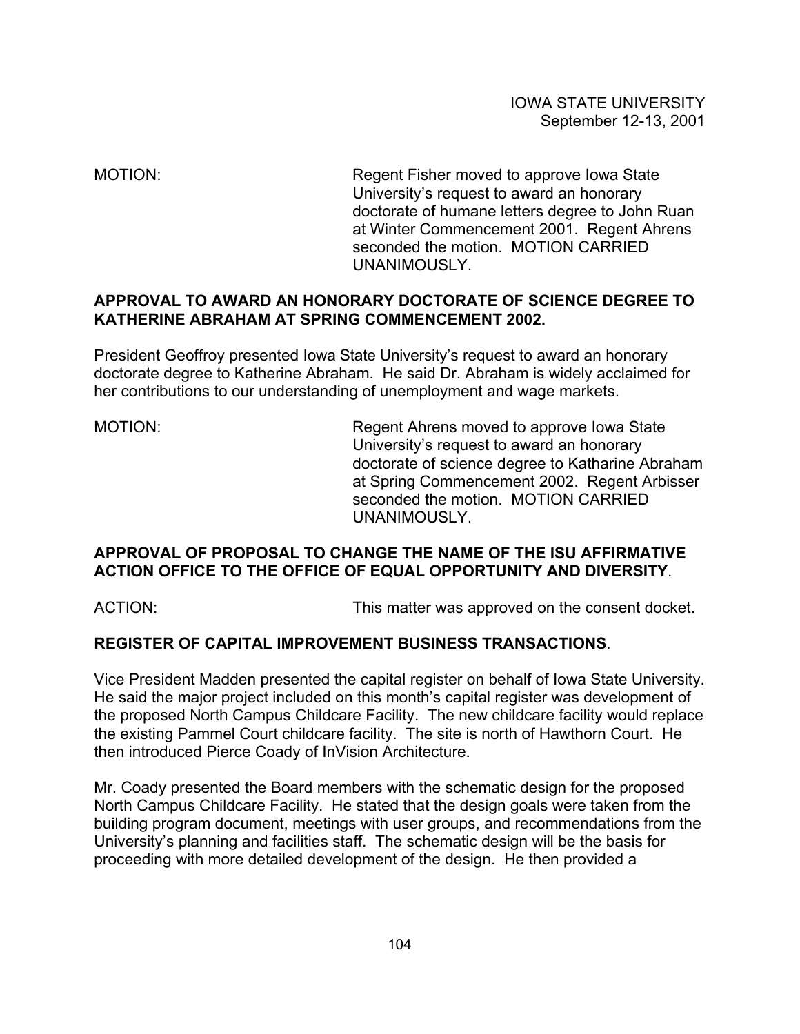MOTION: Regent Fisher moved to approve Iowa State University's request to award an honorary doctorate of humane letters degree to John Ruan at Winter Commencement 2001. Regent Ahrens seconded the motion. MOTION CARRIED UNANIMOUSLY.

# **APPROVAL TO AWARD AN HONORARY DOCTORATE OF SCIENCE DEGREE TO KATHERINE ABRAHAM AT SPRING COMMENCEMENT 2002.**

President Geoffroy presented Iowa State University's request to award an honorary doctorate degree to Katherine Abraham. He said Dr. Abraham is widely acclaimed for her contributions to our understanding of unemployment and wage markets.

MOTION: Regent Ahrens moved to approve Iowa State University's request to award an honorary doctorate of science degree to Katharine Abraham at Spring Commencement 2002. Regent Arbisser seconded the motion. MOTION CARRIED UNANIMOUSLY.

### **APPROVAL OF PROPOSAL TO CHANGE THE NAME OF THE ISU AFFIRMATIVE ACTION OFFICE TO THE OFFICE OF EQUAL OPPORTUNITY AND DIVERSITY**.

ACTION: This matter was approved on the consent docket.

# **REGISTER OF CAPITAL IMPROVEMENT BUSINESS TRANSACTIONS**.

Vice President Madden presented the capital register on behalf of Iowa State University. He said the major project included on this month's capital register was development of the proposed North Campus Childcare Facility. The new childcare facility would replace the existing Pammel Court childcare facility. The site is north of Hawthorn Court. He then introduced Pierce Coady of InVision Architecture.

Mr. Coady presented the Board members with the schematic design for the proposed North Campus Childcare Facility. He stated that the design goals were taken from the building program document, meetings with user groups, and recommendations from the University's planning and facilities staff. The schematic design will be the basis for proceeding with more detailed development of the design. He then provided a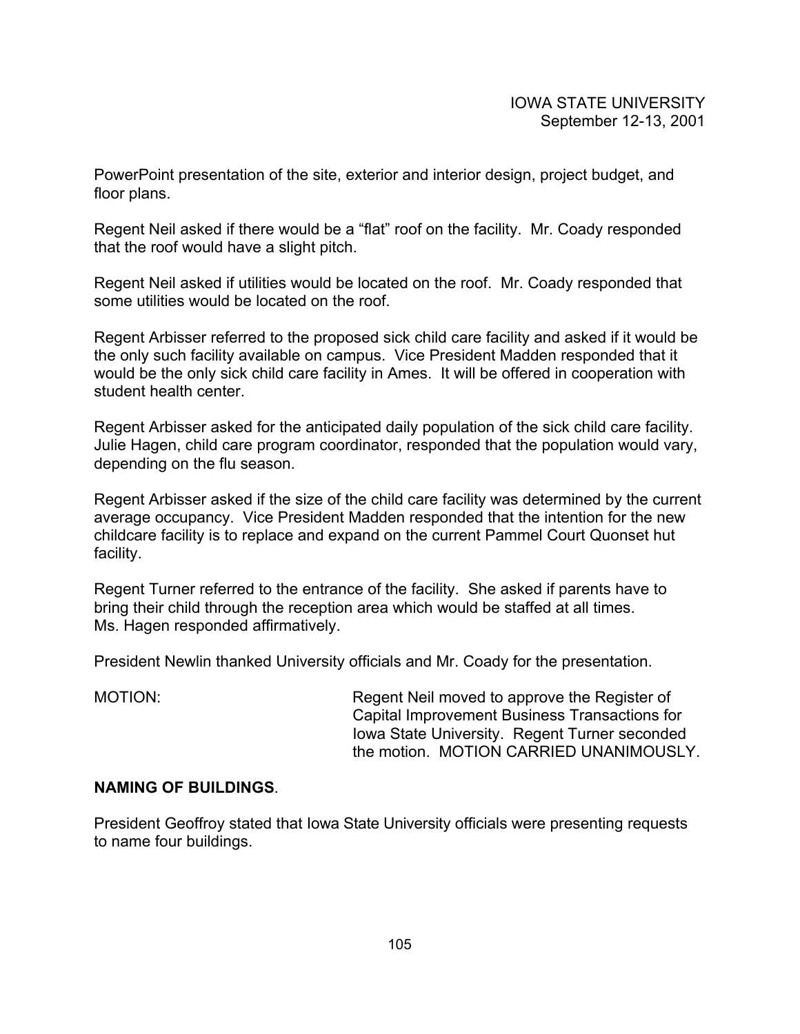PowerPoint presentation of the site, exterior and interior design, project budget, and floor plans.

Regent Neil asked if there would be a "flat" roof on the facility. Mr. Coady responded that the roof would have a slight pitch.

Regent Neil asked if utilities would be located on the roof. Mr. Coady responded that some utilities would be located on the roof.

Regent Arbisser referred to the proposed sick child care facility and asked if it would be the only such facility available on campus. Vice President Madden responded that it would be the only sick child care facility in Ames. It will be offered in cooperation with student health center.

Regent Arbisser asked for the anticipated daily population of the sick child care facility. Julie Hagen, child care program coordinator, responded that the population would vary, depending on the flu season.

Regent Arbisser asked if the size of the child care facility was determined by the current average occupancy. Vice President Madden responded that the intention for the new childcare facility is to replace and expand on the current Pammel Court Quonset hut facility.

Regent Turner referred to the entrance of the facility. She asked if parents have to bring their child through the reception area which would be staffed at all times. Ms. Hagen responded affirmatively.

President Newlin thanked University officials and Mr. Coady for the presentation.

MOTION: Regent Neil moved to approve the Register of Capital Improvement Business Transactions for Iowa State University. Regent Turner seconded the motion. MOTION CARRIED UNANIMOUSLY.

#### **NAMING OF BUILDINGS**.

President Geoffroy stated that Iowa State University officials were presenting requests to name four buildings.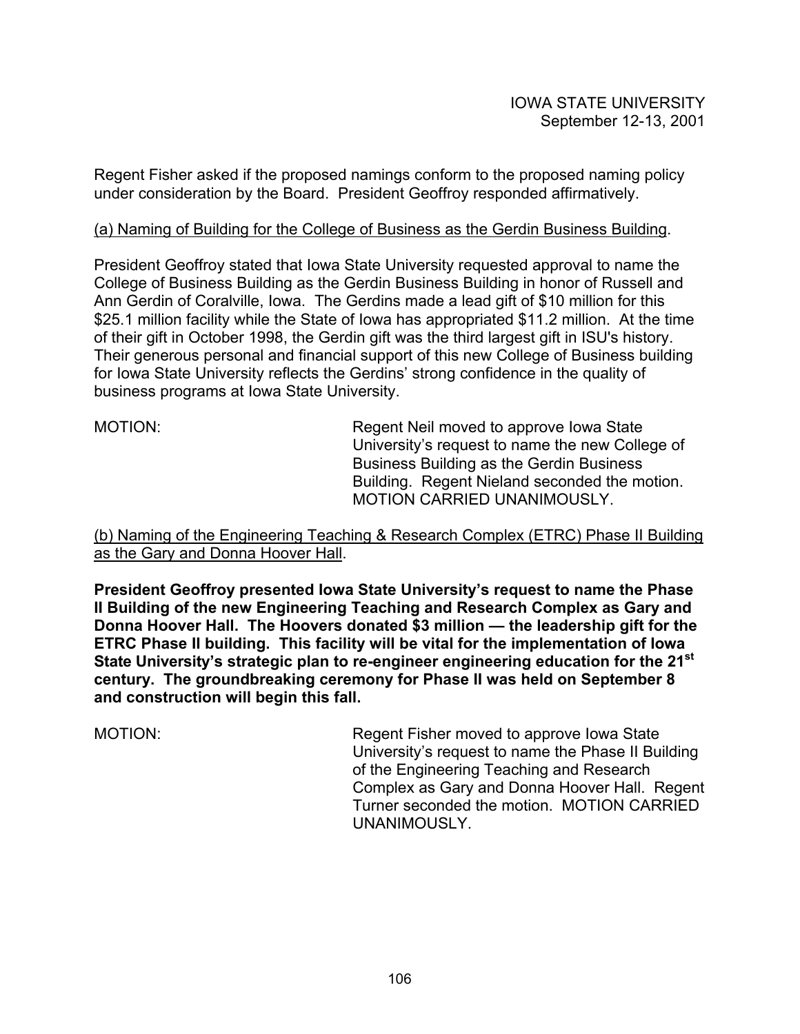Regent Fisher asked if the proposed namings conform to the proposed naming policy under consideration by the Board. President Geoffroy responded affirmatively.

#### (a) Naming of Building for the College of Business as the Gerdin Business Building.

President Geoffroy stated that Iowa State University requested approval to name the College of Business Building as the Gerdin Business Building in honor of Russell and Ann Gerdin of Coralville, Iowa. The Gerdins made a lead gift of \$10 million for this \$25.1 million facility while the State of Iowa has appropriated \$11.2 million. At the time of their gift in October 1998, the Gerdin gift was the third largest gift in ISU's history. Their generous personal and financial support of this new College of Business building for Iowa State University reflects the Gerdins' strong confidence in the quality of business programs at Iowa State University.

MOTION: Regent Neil moved to approve Iowa State University's request to name the new College of Business Building as the Gerdin Business Building. Regent Nieland seconded the motion. MOTION CARRIED UNANIMOUSLY.

(b) Naming of the Engineering Teaching & Research Complex (ETRC) Phase II Building as the Gary and Donna Hoover Hall.

**President Geoffroy presented Iowa State University's request to name the Phase II Building of the new Engineering Teaching and Research Complex as Gary and Donna Hoover Hall. The Hoovers donated \$3 million — the leadership gift for the ETRC Phase II building. This facility will be vital for the implementation of Iowa State University's strategic plan to re-engineer engineering education for the 21st century. The groundbreaking ceremony for Phase II was held on September 8 and construction will begin this fall.** 

MOTION: Regent Fisher moved to approve Iowa State University's request to name the Phase II Building of the Engineering Teaching and Research Complex as Gary and Donna Hoover Hall. Regent Turner seconded the motion. MOTION CARRIED UNANIMOUSLY.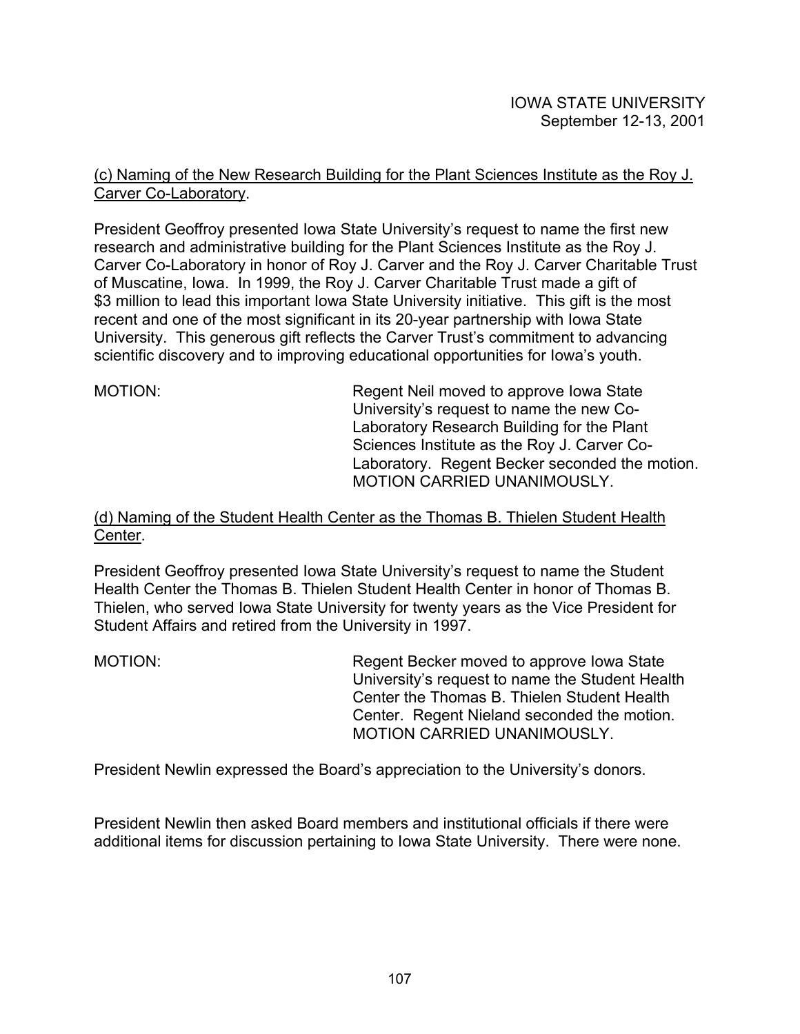# (c) Naming of the New Research Building for the Plant Sciences Institute as the Roy J. Carver Co-Laboratory.

President Geoffroy presented Iowa State University's request to name the first new research and administrative building for the Plant Sciences Institute as the Roy J. Carver Co-Laboratory in honor of Roy J. Carver and the Roy J. Carver Charitable Trust of Muscatine, Iowa. In 1999, the Roy J. Carver Charitable Trust made a gift of \$3 million to lead this important Iowa State University initiative. This gift is the most recent and one of the most significant in its 20-year partnership with Iowa State University. This generous gift reflects the Carver Trust's commitment to advancing scientific discovery and to improving educational opportunities for Iowa's youth.

MOTION: Regent Neil moved to approve Iowa State University's request to name the new Co-Laboratory Research Building for the Plant Sciences Institute as the Roy J. Carver Co-Laboratory. Regent Becker seconded the motion. MOTION CARRIED UNANIMOUSLY.

#### (d) Naming of the Student Health Center as the Thomas B. Thielen Student Health Center.

President Geoffroy presented Iowa State University's request to name the Student Health Center the Thomas B. Thielen Student Health Center in honor of Thomas B. Thielen, who served Iowa State University for twenty years as the Vice President for Student Affairs and retired from the University in 1997.

MOTION: Regent Becker moved to approve Iowa State University's request to name the Student Health Center the Thomas B. Thielen Student Health Center. Regent Nieland seconded the motion. MOTION CARRIED UNANIMOUSLY.

President Newlin expressed the Board's appreciation to the University's donors.

President Newlin then asked Board members and institutional officials if there were additional items for discussion pertaining to Iowa State University. There were none.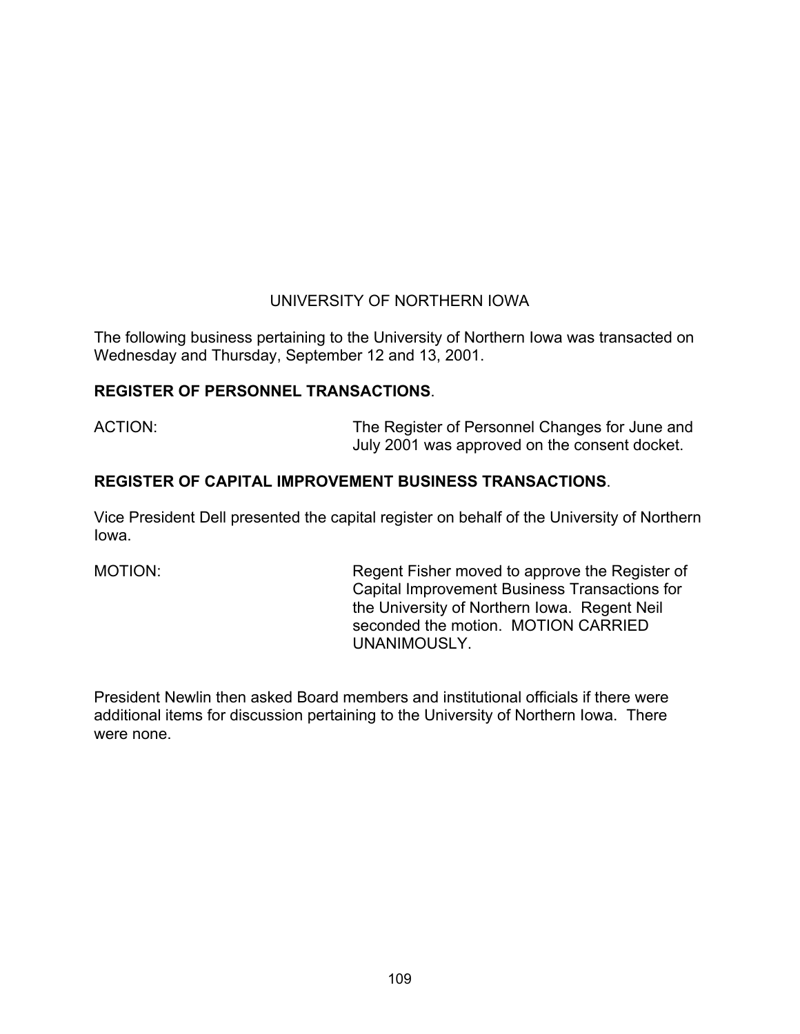# UNIVERSITY OF NORTHERN IOWA

The following business pertaining to the University of Northern Iowa was transacted on Wednesday and Thursday, September 12 and 13, 2001.

# **REGISTER OF PERSONNEL TRANSACTIONS**.

ACTION: The Register of Personnel Changes for June and July 2001 was approved on the consent docket.

# **REGISTER OF CAPITAL IMPROVEMENT BUSINESS TRANSACTIONS**.

Vice President Dell presented the capital register on behalf of the University of Northern Iowa.

MOTION: Regent Fisher moved to approve the Register of Capital Improvement Business Transactions for the University of Northern Iowa. Regent Neil seconded the motion. MOTION CARRIED UNANIMOUSLY.

President Newlin then asked Board members and institutional officials if there were additional items for discussion pertaining to the University of Northern Iowa. There were none.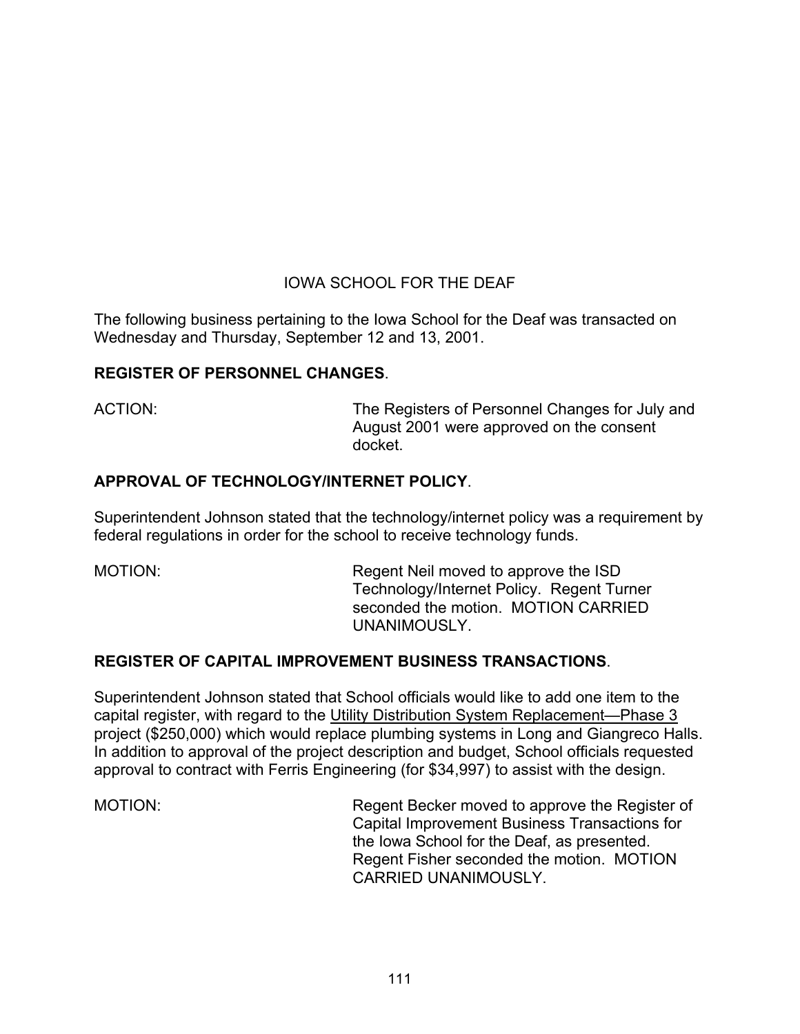# IOWA SCHOOL FOR THE DEAF

The following business pertaining to the Iowa School for the Deaf was transacted on Wednesday and Thursday, September 12 and 13, 2001.

# **REGISTER OF PERSONNEL CHANGES**.

ACTION: The Registers of Personnel Changes for July and August 2001 were approved on the consent docket.

# **APPROVAL OF TECHNOLOGY/INTERNET POLICY**.

Superintendent Johnson stated that the technology/internet policy was a requirement by federal regulations in order for the school to receive technology funds.

MOTION: Regent Neil moved to approve the ISD Technology/Internet Policy. Regent Turner seconded the motion. MOTION CARRIED UNANIMOUSLY.

# **REGISTER OF CAPITAL IMPROVEMENT BUSINESS TRANSACTIONS**.

Superintendent Johnson stated that School officials would like to add one item to the capital register, with regard to the Utility Distribution System Replacement—Phase 3 project (\$250,000) which would replace plumbing systems in Long and Giangreco Halls. In addition to approval of the project description and budget, School officials requested approval to contract with Ferris Engineering (for \$34,997) to assist with the design.

MOTION: Regent Becker moved to approve the Register of Capital Improvement Business Transactions for the Iowa School for the Deaf, as presented. Regent Fisher seconded the motion. MOTION CARRIED UNANIMOUSLY.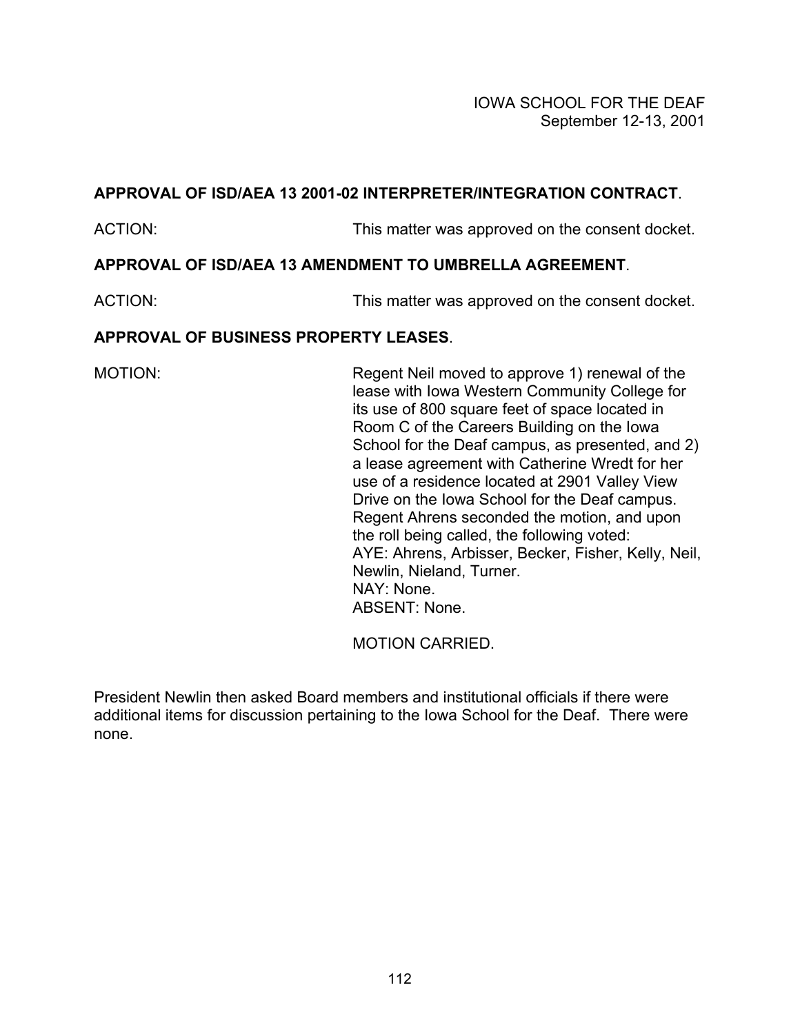# **APPROVAL OF ISD/AEA 13 2001-02 INTERPRETER/INTEGRATION CONTRACT**.

ACTION: This matter was approved on the consent docket.

# **APPROVAL OF ISD/AEA 13 AMENDMENT TO UMBRELLA AGREEMENT**.

ACTION: This matter was approved on the consent docket.

# **APPROVAL OF BUSINESS PROPERTY LEASES**.

MOTION: Regent Neil moved to approve 1) renewal of the lease with Iowa Western Community College for its use of 800 square feet of space located in Room C of the Careers Building on the Iowa School for the Deaf campus, as presented, and 2) a lease agreement with Catherine Wredt for her use of a residence located at 2901 Valley View Drive on the Iowa School for the Deaf campus. Regent Ahrens seconded the motion, and upon the roll being called, the following voted: AYE: Ahrens, Arbisser, Becker, Fisher, Kelly, Neil, Newlin, Nieland, Turner. NAY: None. ABSENT: None.

MOTION CARRIED.

President Newlin then asked Board members and institutional officials if there were additional items for discussion pertaining to the Iowa School for the Deaf. There were none.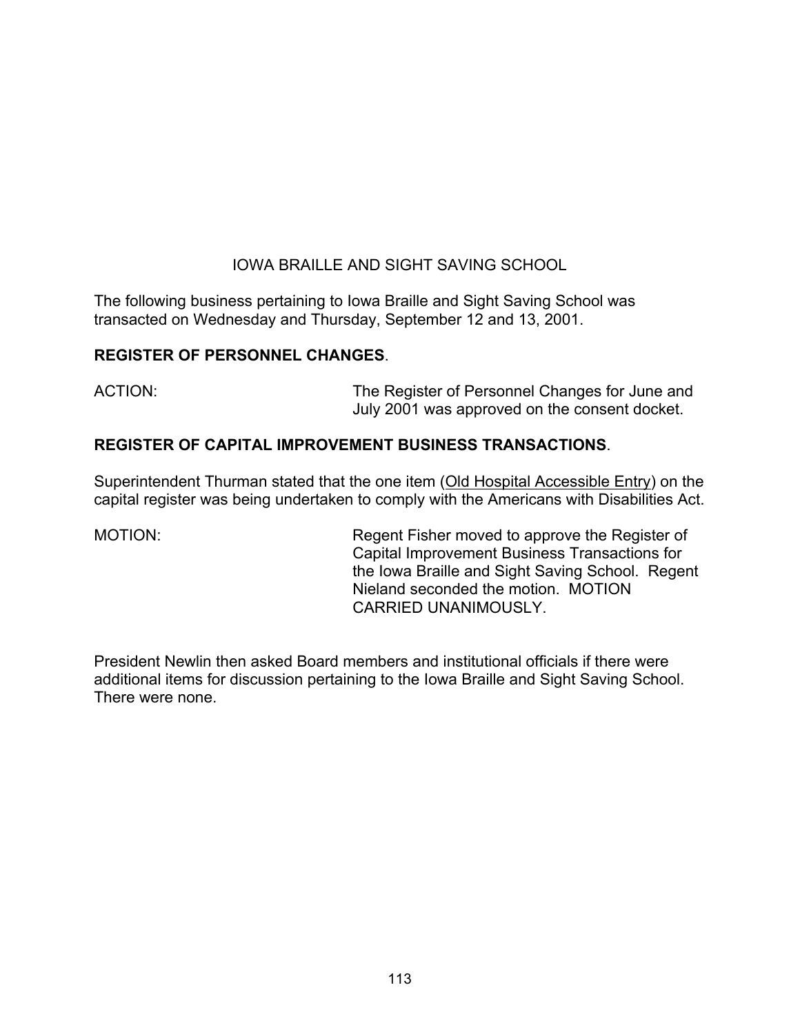# IOWA BRAILLE AND SIGHT SAVING SCHOOL

The following business pertaining to Iowa Braille and Sight Saving School was transacted on Wednesday and Thursday, September 12 and 13, 2001.

### **REGISTER OF PERSONNEL CHANGES**.

ACTION: The Register of Personnel Changes for June and July 2001 was approved on the consent docket.

# **REGISTER OF CAPITAL IMPROVEMENT BUSINESS TRANSACTIONS**.

Superintendent Thurman stated that the one item (Old Hospital Accessible Entry) on the capital register was being undertaken to comply with the Americans with Disabilities Act.

MOTION: Regent Fisher moved to approve the Register of Capital Improvement Business Transactions for the Iowa Braille and Sight Saving School. Regent Nieland seconded the motion. MOTION CARRIED UNANIMOUSLY.

President Newlin then asked Board members and institutional officials if there were additional items for discussion pertaining to the Iowa Braille and Sight Saving School. There were none.